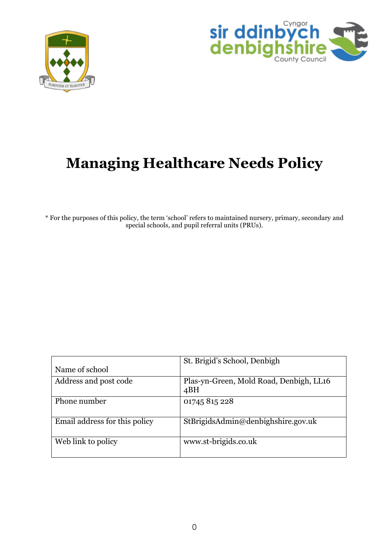



# **Managing Healthcare Needs Policy**

\* For the purposes of this policy, the term 'school' refers to maintained nursery, primary, secondary and special schools, and pupil referral units (PRUs).

|                               | St. Brigid's School, Denbigh                   |
|-------------------------------|------------------------------------------------|
| Name of school                |                                                |
| Address and post code         | Plas-yn-Green, Mold Road, Denbigh, LL16<br>4BH |
| Phone number                  | 01745 815 228                                  |
| Email address for this policy | StBrigidsAdmin@denbighshire.gov.uk             |
| Web link to policy            | www.st-brigids.co.uk                           |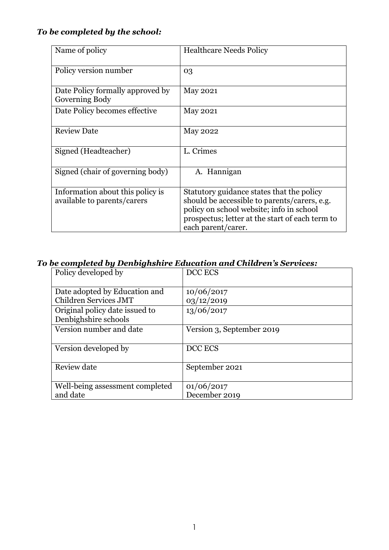# *To be completed by the school:*

| Name of policy                                                  | <b>Healthcare Needs Policy</b>                                                                                                                                                                                 |
|-----------------------------------------------------------------|----------------------------------------------------------------------------------------------------------------------------------------------------------------------------------------------------------------|
| Policy version number                                           | 03                                                                                                                                                                                                             |
| Date Policy formally approved by<br>Governing Body              | <b>May 2021</b>                                                                                                                                                                                                |
| Date Policy becomes effective                                   | May 2021                                                                                                                                                                                                       |
| <b>Review Date</b>                                              | <b>May 2022</b>                                                                                                                                                                                                |
| Signed (Headteacher)                                            | L. Crimes                                                                                                                                                                                                      |
| Signed (chair of governing body)                                | A. Hannigan                                                                                                                                                                                                    |
| Information about this policy is<br>available to parents/carers | Statutory guidance states that the policy<br>should be accessible to parents/carers, e.g.<br>policy on school website; info in school<br>prospectus; letter at the start of each term to<br>each parent/carer. |

# *To be completed by Denbighshire Education and Children's Services:*

| Policy developed by                                    | DCC ECS                     |
|--------------------------------------------------------|-----------------------------|
| Date adopted by Education and<br>Children Services JMT | 10/06/2017<br>03/12/2019    |
| Original policy date issued to<br>Denbighshire schools | 13/06/2017                  |
| Version number and date                                | Version 3, September 2019   |
| Version developed by                                   | DCC ECS                     |
| Review date                                            | September 2021              |
| Well-being assessment completed<br>and date            | 01/06/2017<br>December 2019 |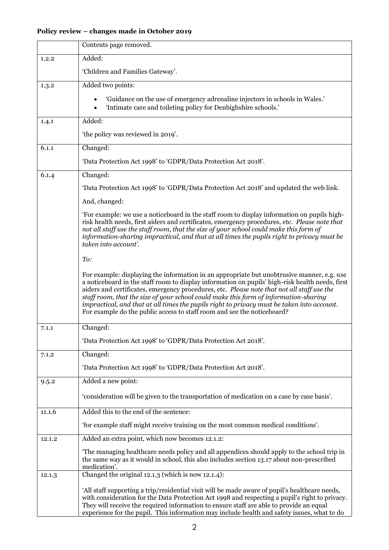# **Policy review – changes made in October 2019**

|        | Contents page removed.                                                                                                                                                                                                                                                                                                                                                                                                                                                                                                                                       |  |
|--------|--------------------------------------------------------------------------------------------------------------------------------------------------------------------------------------------------------------------------------------------------------------------------------------------------------------------------------------------------------------------------------------------------------------------------------------------------------------------------------------------------------------------------------------------------------------|--|
| 1.2.2  | Added:                                                                                                                                                                                                                                                                                                                                                                                                                                                                                                                                                       |  |
|        | 'Children and Families Gateway'.                                                                                                                                                                                                                                                                                                                                                                                                                                                                                                                             |  |
| 1.3.2  | Added two points:                                                                                                                                                                                                                                                                                                                                                                                                                                                                                                                                            |  |
|        | 'Guidance on the use of emergency adrenaline injectors in schools in Wales.'<br>'Intimate care and toileting policy for Denbighshire schools.'<br>$\bullet$                                                                                                                                                                                                                                                                                                                                                                                                  |  |
| 1.4.1  | Added:                                                                                                                                                                                                                                                                                                                                                                                                                                                                                                                                                       |  |
|        | 'the policy was reviewed in 2019'.                                                                                                                                                                                                                                                                                                                                                                                                                                                                                                                           |  |
| 6.1.1  | Changed:                                                                                                                                                                                                                                                                                                                                                                                                                                                                                                                                                     |  |
|        | 'Data Protection Act 1998' to 'GDPR/Data Protection Act 2018'.                                                                                                                                                                                                                                                                                                                                                                                                                                                                                               |  |
| 6.1.4  | Changed:                                                                                                                                                                                                                                                                                                                                                                                                                                                                                                                                                     |  |
|        | 'Data Protection Act 1998' to 'GDPR/Data Protection Act 2018' and updated the web link.                                                                                                                                                                                                                                                                                                                                                                                                                                                                      |  |
|        | And, changed:                                                                                                                                                                                                                                                                                                                                                                                                                                                                                                                                                |  |
|        | For example: we use a noticeboard in the staff room to display information on pupils high-<br>risk health needs, first aiders and certificates, emergency procedures, etc. Please note that<br>not all staff use the staff room, that the size of your school could make this form of<br>information-sharing impractical, and that at all times the pupils right to privacy must be<br>taken into account'.                                                                                                                                                  |  |
|        | To:                                                                                                                                                                                                                                                                                                                                                                                                                                                                                                                                                          |  |
|        | For example: displaying the information in an appropriate but unobtrusive manner, e.g. use<br>a noticeboard in the staff room to display information on pupils' high-risk health needs, first<br>aiders and certificates, emergency procedures, etc. Please note that not all staff use the<br>staff room, that the size of your school could make this form of information-sharing<br>impractical, and that at all times the pupils right to privacy must be taken into account.<br>For example do the public access to staff room and see the noticeboard? |  |
| 7.1.1  | Changed:                                                                                                                                                                                                                                                                                                                                                                                                                                                                                                                                                     |  |
|        | 'Data Protection Act 1998' to 'GDPR/Data Protection Act 2018'.                                                                                                                                                                                                                                                                                                                                                                                                                                                                                               |  |
| 7.1.2  | Changed:                                                                                                                                                                                                                                                                                                                                                                                                                                                                                                                                                     |  |
|        | 'Data Protection Act 1998' to 'GDPR/Data Protection Act 2018'.                                                                                                                                                                                                                                                                                                                                                                                                                                                                                               |  |
| 9.5.2  | Added a new point:                                                                                                                                                                                                                                                                                                                                                                                                                                                                                                                                           |  |
|        | 'consideration will be given to the transportation of medication on a case by case basis'.                                                                                                                                                                                                                                                                                                                                                                                                                                                                   |  |
| 11.1.6 | Added this to the end of the sentence:                                                                                                                                                                                                                                                                                                                                                                                                                                                                                                                       |  |
|        | 'for example staff might receive training on the most common medical conditions'.                                                                                                                                                                                                                                                                                                                                                                                                                                                                            |  |
| 12.1.2 | Added an extra point, which now becomes 12.1.2:                                                                                                                                                                                                                                                                                                                                                                                                                                                                                                              |  |
|        | The managing healthcare needs policy and all appendices should apply to the school trip in<br>the same way as it would in school, this also includes section 13.17 about non-prescribed<br>medication'.                                                                                                                                                                                                                                                                                                                                                      |  |
| 12.1.3 | Changed the original 12.1.3 (which is now 12.1.4):                                                                                                                                                                                                                                                                                                                                                                                                                                                                                                           |  |
|        | 'All staff supporting a trip/residential visit will be made aware of pupil's healthcare needs,<br>with consideration for the Data Protection Act 1998 and respecting a pupil's right to privacy.<br>They will receive the required information to ensure staff are able to provide an equal<br>experience for the pupil. This information may include health and safety issues, what to do                                                                                                                                                                   |  |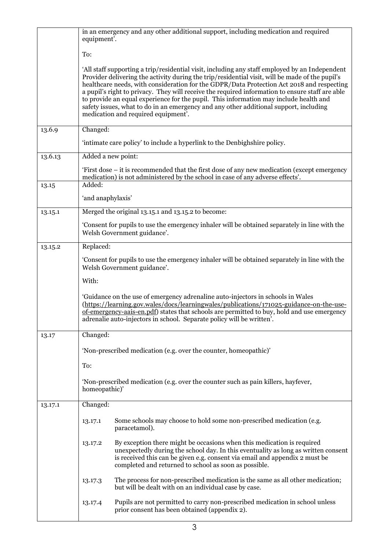|         | in an emergency and any other additional support, including medication and required<br>equipment'.                                                                                                                                                                                                                                                                                                                                                                                                                                                                                                                         |  |  |
|---------|----------------------------------------------------------------------------------------------------------------------------------------------------------------------------------------------------------------------------------------------------------------------------------------------------------------------------------------------------------------------------------------------------------------------------------------------------------------------------------------------------------------------------------------------------------------------------------------------------------------------------|--|--|
|         | To:                                                                                                                                                                                                                                                                                                                                                                                                                                                                                                                                                                                                                        |  |  |
|         | 'All staff supporting a trip/residential visit, including any staff employed by an Independent<br>Provider delivering the activity during the trip/residential visit, will be made of the pupil's<br>healthcare needs, with consideration for the GDPR/Data Protection Act 2018 and respecting<br>a pupil's right to privacy. They will receive the required information to ensure staff are able<br>to provide an equal experience for the pupil. This information may include health and<br>safety issues, what to do in an emergency and any other additional support, including<br>medication and required equipment'. |  |  |
| 13.6.9  | Changed:                                                                                                                                                                                                                                                                                                                                                                                                                                                                                                                                                                                                                   |  |  |
|         | 'intimate care policy' to include a hyperlink to the Denbighshire policy.                                                                                                                                                                                                                                                                                                                                                                                                                                                                                                                                                  |  |  |
| 13.6.13 | Added a new point:                                                                                                                                                                                                                                                                                                                                                                                                                                                                                                                                                                                                         |  |  |
|         | First dose – it is recommended that the first dose of any new medication (except emergency<br>medication) is not administered by the school in case of any adverse effects'.                                                                                                                                                                                                                                                                                                                                                                                                                                               |  |  |
| 13.15   | Added:                                                                                                                                                                                                                                                                                                                                                                                                                                                                                                                                                                                                                     |  |  |
|         | 'and anaphylaxis'                                                                                                                                                                                                                                                                                                                                                                                                                                                                                                                                                                                                          |  |  |
| 13.15.1 | Merged the original 13.15.1 and 13.15.2 to become:                                                                                                                                                                                                                                                                                                                                                                                                                                                                                                                                                                         |  |  |
|         | 'Consent for pupils to use the emergency inhaler will be obtained separately in line with the<br>Welsh Government guidance'.                                                                                                                                                                                                                                                                                                                                                                                                                                                                                               |  |  |
| 13.15.2 | Replaced:                                                                                                                                                                                                                                                                                                                                                                                                                                                                                                                                                                                                                  |  |  |
|         | Consent for pupils to use the emergency inhaler will be obtained separately in line with the<br>Welsh Government guidance'.                                                                                                                                                                                                                                                                                                                                                                                                                                                                                                |  |  |
|         | With:                                                                                                                                                                                                                                                                                                                                                                                                                                                                                                                                                                                                                      |  |  |
|         | 'Guidance on the use of emergency adrenaline auto-injectors in schools in Wales<br>(https://learning.gov.wales/docs/learningwales/publications/171025-guidance-on-the-use-<br>of-emergency-aais-en.pdf) states that schools are permitted to buy, hold and use emergency<br>adrenalie auto-injectors in school. Separate policy will be written'.                                                                                                                                                                                                                                                                          |  |  |
| 13.17   | Changed:                                                                                                                                                                                                                                                                                                                                                                                                                                                                                                                                                                                                                   |  |  |
|         | 'Non-prescribed medication (e.g. over the counter, homeopathic)'                                                                                                                                                                                                                                                                                                                                                                                                                                                                                                                                                           |  |  |
|         | To:                                                                                                                                                                                                                                                                                                                                                                                                                                                                                                                                                                                                                        |  |  |
|         | 'Non-prescribed medication (e.g. over the counter such as pain killers, hayfever,<br>homeopathic)'                                                                                                                                                                                                                                                                                                                                                                                                                                                                                                                         |  |  |
| 13.17.1 | Changed:                                                                                                                                                                                                                                                                                                                                                                                                                                                                                                                                                                                                                   |  |  |
|         | Some schools may choose to hold some non-prescribed medication (e.g.<br>13.17.1<br>paracetamol).                                                                                                                                                                                                                                                                                                                                                                                                                                                                                                                           |  |  |
|         | By exception there might be occasions when this medication is required<br>13.17.2<br>unexpectedly during the school day. In this eventuality as long as written consent<br>is received this can be given e.g. consent via email and appendix 2 must be<br>completed and returned to school as soon as possible.                                                                                                                                                                                                                                                                                                            |  |  |
|         | The process for non-prescribed medication is the same as all other medication;<br>13.17.3<br>but will be dealt with on an individual case by case.                                                                                                                                                                                                                                                                                                                                                                                                                                                                         |  |  |
|         | Pupils are not permitted to carry non-prescribed medication in school unless<br>13.17.4<br>prior consent has been obtained (appendix 2).                                                                                                                                                                                                                                                                                                                                                                                                                                                                                   |  |  |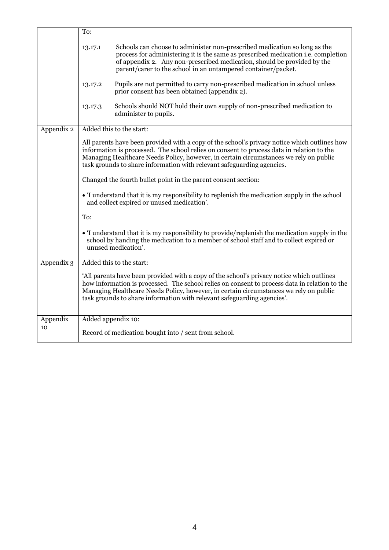|              | To:                                                                                                                                                                                                                                                                                                                                                           |  |
|--------------|---------------------------------------------------------------------------------------------------------------------------------------------------------------------------------------------------------------------------------------------------------------------------------------------------------------------------------------------------------------|--|
|              | Schools can choose to administer non-prescribed medication so long as the<br>13.17.1<br>process for administering it is the same as prescribed medication <i>i.e.</i> completion<br>of appendix 2. Any non-prescribed medication, should be provided by the<br>parent/carer to the school in an untampered container/packet.                                  |  |
|              | Pupils are not permitted to carry non-prescribed medication in school unless<br>13.17.2<br>prior consent has been obtained (appendix 2).                                                                                                                                                                                                                      |  |
|              | Schools should NOT hold their own supply of non-prescribed medication to<br>13.17.3<br>administer to pupils.                                                                                                                                                                                                                                                  |  |
| Appendix 2   | Added this to the start:                                                                                                                                                                                                                                                                                                                                      |  |
|              | All parents have been provided with a copy of the school's privacy notice which outlines how<br>information is processed. The school relies on consent to process data in relation to the<br>Managing Healthcare Needs Policy, however, in certain circumstances we rely on public<br>task grounds to share information with relevant safeguarding agencies.  |  |
|              | Changed the fourth bullet point in the parent consent section:                                                                                                                                                                                                                                                                                                |  |
|              | • I understand that it is my responsibility to replenish the medication supply in the school<br>and collect expired or unused medication'.                                                                                                                                                                                                                    |  |
|              | To:                                                                                                                                                                                                                                                                                                                                                           |  |
|              | • I understand that it is my responsibility to provide/replenish the medication supply in the<br>school by handing the medication to a member of school staff and to collect expired or<br>unused medication'.                                                                                                                                                |  |
| Appendix $3$ | Added this to the start:                                                                                                                                                                                                                                                                                                                                      |  |
|              | All parents have been provided with a copy of the school's privacy notice which outlines<br>how information is processed. The school relies on consent to process data in relation to the<br>Managing Healthcare Needs Policy, however, in certain circumstances we rely on public<br>task grounds to share information with relevant safeguarding agencies'. |  |
| Appendix     | Added appendix 10:                                                                                                                                                                                                                                                                                                                                            |  |
| 10           | Record of medication bought into / sent from school.                                                                                                                                                                                                                                                                                                          |  |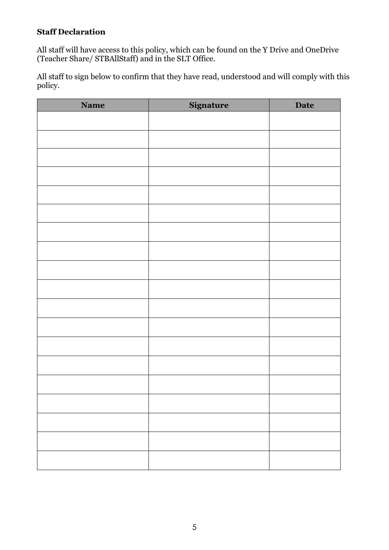# **Staff Declaration**

All staff will have access to this policy, which can be found on the Y Drive and OneDrive (Teacher Share/ STBAllStaff) and in the SLT Office.

All staff to sign below to confirm that they have read, understood and will comply with this policy.

| <b>Name</b> | Signature | <b>Date</b> |
|-------------|-----------|-------------|
|             |           |             |
|             |           |             |
|             |           |             |
|             |           |             |
|             |           |             |
|             |           |             |
|             |           |             |
|             |           |             |
|             |           |             |
|             |           |             |
|             |           |             |
|             |           |             |
|             |           |             |
|             |           |             |
|             |           |             |
|             |           |             |
|             |           |             |
|             |           |             |
|             |           |             |
|             |           |             |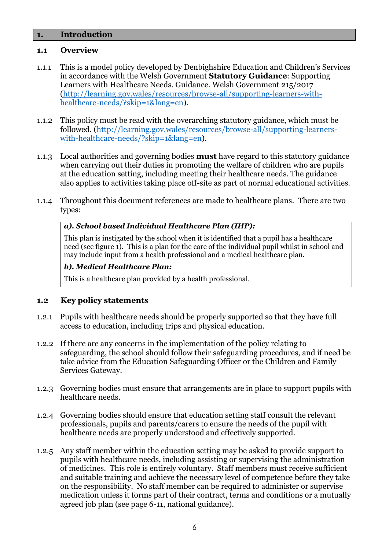### **1. Introduction**

### **1.1 Overview**

- 1.1.1 This is a model policy developed by Denbighshire Education and Children's Services in accordance with the Welsh Government **Statutory Guidance**: Supporting Learners with Healthcare Needs. Guidance. Welsh Government 215/2017 [\(http://learning.gov.wales/resources/browse-all/supporting-learners-with](http://learning.gov.wales/resources/browse-all/supporting-learners-with-healthcare-needs/?skip=1&lang=en)[healthcare-needs/?skip=1&lang=en\)](http://learning.gov.wales/resources/browse-all/supporting-learners-with-healthcare-needs/?skip=1&lang=en).
- 1.1.2 This policy must be read with the overarching statutory guidance, which must be followed. [\(http://learning.gov.wales/resources/browse-all/supporting-learners](http://learning.gov.wales/resources/browse-all/supporting-learners-with-healthcare-needs/?skip=1&lang=en)[with-healthcare-needs/?skip=1&lang=en\)](http://learning.gov.wales/resources/browse-all/supporting-learners-with-healthcare-needs/?skip=1&lang=en).
- 1.1.3 Local authorities and governing bodies **must** have regard to this statutory guidance when carrying out their duties in promoting the welfare of children who are pupils at the education setting, including meeting their healthcare needs. The guidance also applies to activities taking place off-site as part of normal educational activities.
- 1.1.4 Throughout this document references are made to healthcare plans. There are two types:

### *a). School based Individual Healthcare Plan (IHP):*

This plan is instigated by the school when it is identified that a pupil has a healthcare need (see figure 1). This is a plan for the care of the individual pupil whilst in school and may include input from a health professional and a medical healthcare plan.

### *b). Medical Healthcare Plan:*

This is a healthcare plan provided by a health professional.

### **1.2 Key policy statements**

- 1.2.1 Pupils with healthcare needs should be properly supported so that they have full access to education, including trips and physical education.
- 1.2.2 If there are any concerns in the implementation of the policy relating to safeguarding, the school should follow their safeguarding procedures, and if need be take advice from the Education Safeguarding Officer or the Children and Family Services Gateway.
- 1.2.3 Governing bodies must ensure that arrangements are in place to support pupils with healthcare needs.
- 1.2.4 Governing bodies should ensure that education setting staff consult the relevant professionals, pupils and parents/carers to ensure the needs of the pupil with healthcare needs are properly understood and effectively supported.
- 1.2.5 Any staff member within the education setting may be asked to provide support to pupils with healthcare needs, including assisting or supervising the administration of medicines. This role is entirely voluntary. Staff members must receive sufficient and suitable training and achieve the necessary level of competence before they take on the responsibility. No staff member can be required to administer or supervise medication unless it forms part of their contract, terms and conditions or a mutually agreed job plan (see page 6-11, national guidance).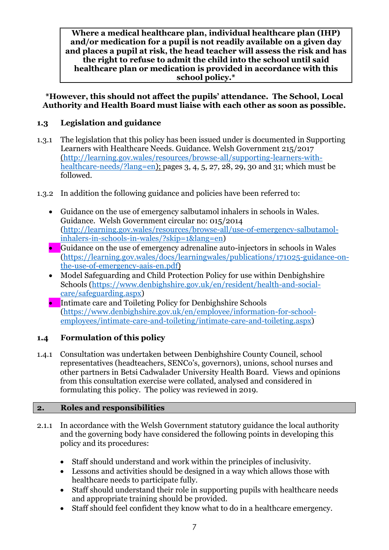**Where a medical healthcare plan, individual healthcare plan (IHP) and/or medication for a pupil is not readily available on a given day and places a pupil at risk, the head teacher will assess the risk and has the right to refuse to admit the child into the school until said healthcare plan or medication is provided in accordance with this school policy.\***

**\*However, this should not affect the pupils' attendance. The School, Local Authority and Health Board must liaise with each other as soon as possible.**

# **1.3 Legislation and guidance**

- 1.3.1 The legislation that this policy has been issued under is documented in Supporting Learners with Healthcare Needs. Guidance. Welsh Government 215/2017 [\(http://learning.gov.wales/resources/browse-all/supporting-learners-with](http://learning.gov.wales/resources/browse-all/supporting-learners-with-healthcare-needs/?lang=en)[healthcare-needs/?lang=en\)](http://learning.gov.wales/resources/browse-all/supporting-learners-with-healthcare-needs/?lang=en); pages 3, 4, 5, 27, 28, 29, 30 and 31; which must be followed.
- 1.3.2 In addition the following guidance and policies have been referred to:
	- Guidance on the use of emergency salbutamol inhalers in schools in Wales. Guidance. Welsh Government circular no: 015/2014 [\(http://learning.gov.wales/resources/browse-all/use-of-emergency-salbutamol](http://learning.gov.wales/resources/browse-all/use-of-emergency-salbutamol-inhalers-in-schools-in-wales/?skip=1&lang=en)[inhalers-in-schools-in-wales/?skip=1&lang=en\)](http://learning.gov.wales/resources/browse-all/use-of-emergency-salbutamol-inhalers-in-schools-in-wales/?skip=1&lang=en)
	- Guidance on the use of emergency adrenaline auto-injectors in schools in Wales [\(https://learning.gov.wales/docs/learningwales/publications/171025-guidance-on](https://learning.gov.wales/docs/learningwales/publications/171025-guidance-on-the-use-of-emergency-aais-en.pdf)[the-use-of-emergency-aais-en.pdf\)](https://learning.gov.wales/docs/learningwales/publications/171025-guidance-on-the-use-of-emergency-aais-en.pdf)
	- Model Safeguarding and Child Protection Policy for use within Denbighshire Schools [\(https://www.denbighshire.gov.uk/en/resident/health-and-social](https://www.denbighshire.gov.uk/en/resident/health-and-social-care/safeguarding.aspx)[care/safeguarding.aspx\)](https://www.denbighshire.gov.uk/en/resident/health-and-social-care/safeguarding.aspx)
	- Intimate care and Toileting Policy for Denbighshire Schools [\(https://www.denbighshire.gov.uk/en/employee/information-for-school](https://www.denbighshire.gov.uk/en/employee/information-for-school-employees/intimate-care-and-toileting/intimate-care-and-toileting.aspx)[employees/intimate-care-and-toileting/intimate-care-and-toileting.aspx\)](https://www.denbighshire.gov.uk/en/employee/information-for-school-employees/intimate-care-and-toileting/intimate-care-and-toileting.aspx)

# **1.4 Formulation of this policy**

1.4.1 Consultation was undertaken between Denbighshire County Council, school representatives (headteachers, SENCo's, governors), unions, school nurses and other partners in Betsi Cadwalader University Health Board. Views and opinions from this consultation exercise were collated, analysed and considered in formulating this policy. The policy was reviewed in 2019.

# **2. Roles and responsibilities**

- 2.1.1 In accordance with the Welsh Government statutory guidance the local authority and the governing body have considered the following points in developing this policy and its procedures:
	- Staff should understand and work within the principles of inclusivity.
	- Lessons and activities should be designed in a way which allows those with healthcare needs to participate fully.
	- Staff should understand their role in supporting pupils with healthcare needs and appropriate training should be provided.
	- Staff should feel confident they know what to do in a healthcare emergency.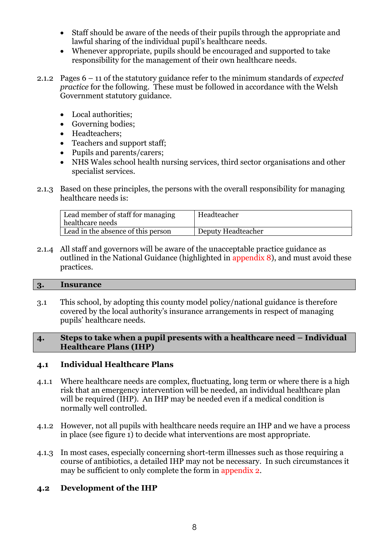- Staff should be aware of the needs of their pupils through the appropriate and lawful sharing of the individual pupil's healthcare needs.
- Whenever appropriate, pupils should be encouraged and supported to take responsibility for the management of their own healthcare needs.
- 2.1.2 Pages 6 11 of the statutory guidance refer to the minimum standards of *expected practice* for the following. These must be followed in accordance with the Welsh Government statutory guidance.
	- Local authorities;
	- Governing bodies;
	- Headteachers;
	- Teachers and support staff;
	- Pupils and parents/carers;
	- NHS Wales school health nursing services, third sector organisations and other specialist services.
- 2.1.3 Based on these principles, the persons with the overall responsibility for managing healthcare needs is:

| Lead member of staff for managing<br>healthcare needs | Headteacher        |
|-------------------------------------------------------|--------------------|
| Lead in the absence of this person                    | Deputy Headteacher |

2.1.4 All staff and governors will be aware of the unacceptable practice guidance as outlined in the National Guidance (highlighted in appendix 8), and must avoid these practices.

### **3. Insurance**

3.1 This school, by adopting this county model policy/national guidance is therefore covered by the local authority's insurance arrangements in respect of managing pupils' healthcare needs.

### **4. Steps to take when a pupil presents with a healthcare need – Individual Healthcare Plans (IHP)**

# **4.1 Individual Healthcare Plans**

- 4.1.1 Where healthcare needs are complex, fluctuating, long term or where there is a high risk that an emergency intervention will be needed, an individual healthcare plan will be required (IHP). An IHP may be needed even if a medical condition is normally well controlled.
- 4.1.2 However, not all pupils with healthcare needs require an IHP and we have a process in place (see figure 1) to decide what interventions are most appropriate.
- 4.1.3 In most cases, especially concerning short-term illnesses such as those requiring a course of antibiotics, a detailed IHP may not be necessary. In such circumstances it may be sufficient to only complete the form in appendix 2.

# **4.2 Development of the IHP**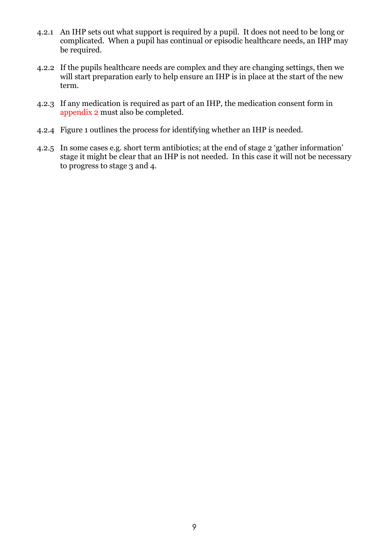- 4.2.1 An IHP sets out what support is required by a pupil. It does not need to be long or complicated. When a pupil has continual or episodic healthcare needs, an IHP may be required.
- 4.2.2 If the pupils healthcare needs are complex and they are changing settings, then we will start preparation early to help ensure an IHP is in place at the start of the new term.
- 4.2.3 If any medication is required as part of an IHP, the medication consent form in appendix 2 must also be completed.
- 4.2.4 Figure 1 outlines the process for identifying whether an IHP is needed.
- 4.2.5 In some cases e.g. short term antibiotics; at the end of stage 2 'gather information' stage it might be clear that an IHP is not needed. In this case it will not be necessary to progress to stage 3 and 4.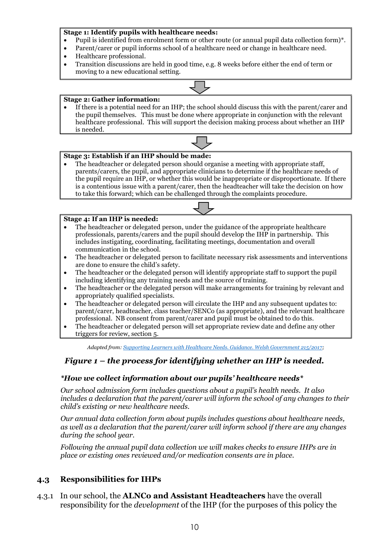### **Stage 1: Identify pupils with healthcare needs:**

- Pupil is identified from enrolment form or other route (or annual pupil data collection form)\*.
- Parent/carer or pupil informs school of a healthcare need or change in healthcare need.
- Healthcare professional.
- Transition discussions are held in good time, e.g. 8 weeks before either the end of term or moving to a new educational setting.

#### **Stage 2: Gather information:**

• If there is a potential need for an IHP; the school should discuss this with the parent/carer and the pupil themselves. This must be done where appropriate in conjunction with the relevant healthcare professional. This will support the decision making process about whether an IHP is needed.



### **Stage 3: Establish if an IHP should be made:**

The headteacher or delegated person should organise a meeting with appropriate staff, parents/carers, the pupil, and appropriate clinicians to determine if the healthcare needs of the pupil require an IHP, or whether this would be inappropriate or disproportionate. If there is a contentious issue with a parent/carer, then the headteacher will take the decision on how to take this forward; which can be challenged through the complaints procedure.



#### **Stage 4: If an IHP is needed:**

- The headteacher or delegated person, under the guidance of the appropriate healthcare professionals, parents/carers and the pupil should develop the IHP in partnership. This includes instigating, coordinating, facilitating meetings, documentation and overall communication in the school.
- The headteacher or delegated person to facilitate necessary risk assessments and interventions are done to ensure the child's safety.
- The headteacher or the delegated person will identify appropriate staff to support the pupil including identifying any training needs and the source of training.
- The headteacher or the delegated person will make arrangements for training by relevant and appropriately qualified specialists.
- The headteacher or delegated person will circulate the IHP and any subsequent updates to: parent/carer, headteacher, class teacher/SENCo (as appropriate), and the relevant healthcare professional. NB consent from parent/carer and pupil must be obtained to do this.
- The headteacher or delegated person will set appropriate review date and define any other triggers for review, section 5.

*Adapted from[: Supporting Learners with Healthcare Needs. Guidance. Welsh Government 215/2017;](http://learning.gov.wales/resources/browse-all/supporting-learners-with-healthcare-needs/?lang=en)*

### *Figure 1 – the process for identifying whether an IHP is needed.*

### *\*How we collect information about our pupils' healthcare needs\**

*Our school admission form includes questions about a pupil's health needs. It also includes a declaration that the parent/carer will inform the school of any changes to their child's existing or new healthcare needs.* 

*Our annual data collection form about pupils includes questions about healthcare needs, as well as a declaration that the parent/carer will inform school if there are any changes during the school year.* 

*Following the annual pupil data collection we will makes checks to ensure IHPs are in place or existing ones reviewed and/or medication consents are in place.*

### **4.3 Responsibilities for IHPs**

4.3.1 In our school, the **ALNCo and Assistant Headteachers** have the overall responsibility for the *development* of the IHP (for the purposes of this policy the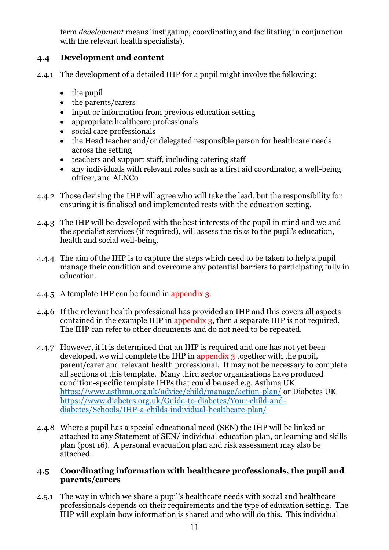term *development* means 'instigating, coordinating and facilitating in conjunction with the relevant health specialists).

# **4.4 Development and content**

- 4.4.1 The development of a detailed IHP for a pupil might involve the following:
	- the pupil
	- the parents/carers
	- input or information from previous education setting
	- appropriate healthcare professionals
	- social care professionals
	- the Head teacher and/or delegated responsible person for healthcare needs across the setting
	- teachers and support staff, including catering staff
	- any individuals with relevant roles such as a first aid coordinator, a well-being officer, and ALNCo
- 4.4.2 Those devising the IHP will agree who will take the lead, but the responsibility for ensuring it is finalised and implemented rests with the education setting.
- 4.4.3 The IHP will be developed with the best interests of the pupil in mind and we and the specialist services (if required), will assess the risks to the pupil's education, health and social well-being.
- 4.4.4 The aim of the IHP is to capture the steps which need to be taken to help a pupil manage their condition and overcome any potential barriers to participating fully in education.
- 4.4.5 A template IHP can be found in appendix 3.
- 4.4.6 If the relevant health professional has provided an IHP and this covers all aspects contained in the example IHP in appendix 3, then a separate IHP is not required. The IHP can refer to other documents and do not need to be repeated.
- 4.4.7 However, if it is determined that an IHP is required and one has not yet been developed, we will complete the IHP in appendix 3 together with the pupil, parent/carer and relevant health professional. It may not be necessary to complete all sections of this template. Many third sector organisations have produced condition-specific template IHPs that could be used e.g. Asthma UK <https://www.asthma.org.uk/advice/child/manage/action-plan/> or Diabetes UK [https://www.diabetes.org.uk/Guide-to-diabetes/Your-child-and](https://www.diabetes.org.uk/Guide-to-diabetes/Your-child-and-diabetes/Schools/IHP-a-childs-individual-healthcare-plan/)[diabetes/Schools/IHP-a-childs-individual-healthcare-plan/](https://www.diabetes.org.uk/Guide-to-diabetes/Your-child-and-diabetes/Schools/IHP-a-childs-individual-healthcare-plan/)
- 4.4.8 Where a pupil has a special educational need (SEN) the IHP will be linked or attached to any Statement of SEN/ individual education plan, or learning and skills plan (post 16). A personal evacuation plan and risk assessment may also be attached.

# **4.5 Coordinating information with healthcare professionals, the pupil and parents/carers**

4.5.1 The way in which we share a pupil's healthcare needs with social and healthcare professionals depends on their requirements and the type of education setting. The IHP will explain how information is shared and who will do this. This individual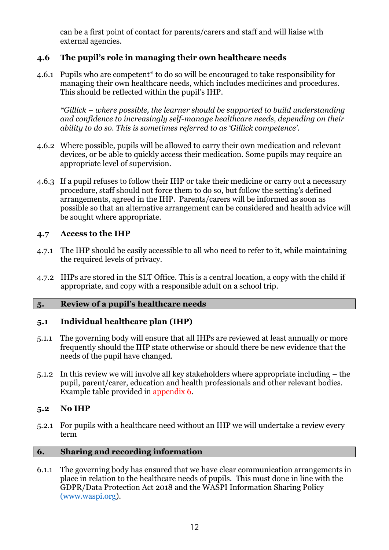can be a first point of contact for parents/carers and staff and will liaise with external agencies.

# **4.6 The pupil's role in managing their own healthcare needs**

4.6.1 Pupils who are competent\* to do so will be encouraged to take responsibility for managing their own healthcare needs, which includes medicines and procedures. This should be reflected within the pupil's IHP.

*\*Gillick – where possible, the learner should be supported to build understanding and confidence to increasingly self-manage healthcare needs, depending on their ability to do so. This is sometimes referred to as 'Gillick competence'.*

- 4.6.2 Where possible, pupils will be allowed to carry their own medication and relevant devices, or be able to quickly access their medication. Some pupils may require an appropriate level of supervision.
- 4.6.3 If a pupil refuses to follow their IHP or take their medicine or carry out a necessary procedure, staff should not force them to do so, but follow the setting's defined arrangements, agreed in the IHP. Parents/carers will be informed as soon as possible so that an alternative arrangement can be considered and health advice will be sought where appropriate.

# **4.7 Access to the IHP**

- 4.7.1 The IHP should be easily accessible to all who need to refer to it, while maintaining the required levels of privacy.
- 4.7.2 IHPs are stored in the SLT Office. This is a central location, a copy with the child if appropriate, and copy with a responsible adult on a school trip.

### **5. Review of a pupil's healthcare needs**

# **5.1 Individual healthcare plan (IHP)**

- 5.1.1 The governing body will ensure that all IHPs are reviewed at least annually or more frequently should the IHP state otherwise or should there be new evidence that the needs of the pupil have changed.
- 5.1.2 In this review we will involve all key stakeholders where appropriate including the pupil, parent/carer, education and health professionals and other relevant bodies. Example table provided in appendix 6.

### **5.2 No IHP**

5.2.1 For pupils with a healthcare need without an IHP we will undertake a review every term

### **6. Sharing and recording information**

6.1.1 The governing body has ensured that we have clear communication arrangements in place in relation to the healthcare needs of pupils. This must done in line with the GDPR/Data Protection Act 2018 and the WASPI Information Sharing Policy (www.waspi.org).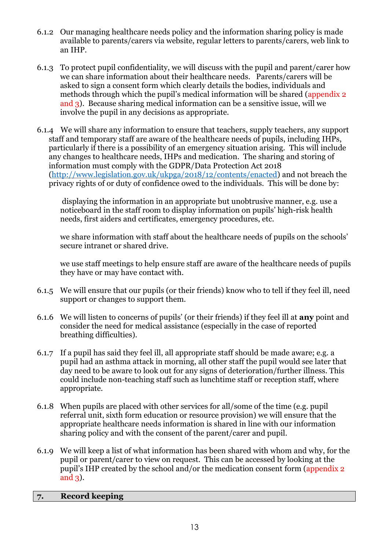- 6.1.2 Our managing healthcare needs policy and the information sharing policy is made available to parents/carers via website, regular letters to parents/carers, web link to an IHP.
- 6.1.3 To protect pupil confidentiality, we will discuss with the pupil and parent/carer how we can share information about their healthcare needs. Parents/carers will be asked to sign a consent form which clearly details the bodies, individuals and methods through which the pupil's medical information will be shared (appendix 2 and 3). Because sharing medical information can be a sensitive issue, will we involve the pupil in any decisions as appropriate.
- 6.1.4 We will share any information to ensure that teachers, supply teachers, any support staff and temporary staff are aware of the healthcare needs of pupils, including IHPs, particularly if there is a possibility of an emergency situation arising. This will include any changes to healthcare needs, IHPs and medication. The sharing and storing of information must comply with the GDPR/Data Protection Act 2018 [\(http://www.legislation.gov.uk/ukpga/2018/12/contents/enacted\)](http://www.legislation.gov.uk/ukpga/2018/12/contents/enacted) and not breach the privacy rights of or duty of confidence owed to the individuals. This will be done by:

displaying the information in an appropriate but unobtrusive manner, e.g. use a noticeboard in the staff room to display information on pupils' high-risk health needs, first aiders and certificates, emergency procedures, etc.

we share information with staff about the healthcare needs of pupils on the schools' secure intranet or shared drive.

we use staff meetings to help ensure staff are aware of the healthcare needs of pupils they have or may have contact with.

- 6.1.5 We will ensure that our pupils (or their friends) know who to tell if they feel ill, need support or changes to support them.
- 6.1.6 We will listen to concerns of pupils' (or their friends) if they feel ill at **any** point and consider the need for medical assistance (especially in the case of reported breathing difficulties).
- 6.1.7 If a pupil has said they feel ill, all appropriate staff should be made aware; e.g. a pupil had an asthma attack in morning, all other staff the pupil would see later that day need to be aware to look out for any signs of deterioration/further illness. This could include non-teaching staff such as lunchtime staff or reception staff, where appropriate.
- 6.1.8 When pupils are placed with other services for all/some of the time (e.g. pupil referral unit, sixth form education or resource provision) we will ensure that the appropriate healthcare needs information is shared in line with our information sharing policy and with the consent of the parent/carer and pupil.
- 6.1.9 We will keep a list of what information has been shared with whom and why, for the pupil or parent/carer to view on request. This can be accessed by looking at the pupil's IHP created by the school and/or the medication consent form (appendix 2 and 3).

### **7. Record keeping**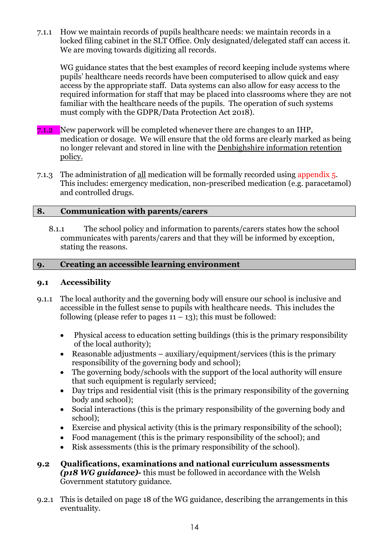7.1.1 How we maintain records of pupils healthcare needs: we maintain records in a locked filing cabinet in the SLT Office. Only designated/delegated staff can access it. We are moving towards digitizing all records.

WG guidance states that the best examples of record keeping include systems where pupils' healthcare needs records have been computerised to allow quick and easy access by the appropriate staff. Data systems can also allow for easy access to the required information for staff that may be placed into classrooms where they are not familiar with the healthcare needs of the pupils. The operation of such systems must comply with the GDPR/Data Protection Act 2018).

- 7.1.2 New paperwork will be completed whenever there are changes to an IHP, medication or dosage. We will ensure that the old forms are clearly marked as being no longer relevant and stored in line with the Denbighshire information retention policy.
- 7.1.3 The administration of all medication will be formally recorded using appendix 5. This includes: emergency medication, non-prescribed medication (e.g. paracetamol) and controlled drugs.

### **8. Communication with parents/carers**

8.1.1 The school policy and information to parents/carers states how the school communicates with parents/carers and that they will be informed by exception, stating the reasons.

# **9. Creating an accessible learning environment**

### **9.1 Accessibility**

- 9.1.1 The local authority and the governing body will ensure our school is inclusive and accessible in the fullest sense to pupils with healthcare needs. This includes the following (please refer to pages  $11 - 13$ ); this must be followed:
	- Physical access to education setting buildings (this is the primary responsibility of the local authority);
	- Reasonable adjustments auxiliary/equipment/services (this is the primary responsibility of the governing body and school);
	- The governing body/schools with the support of the local authority will ensure that such equipment is regularly serviced;
	- Day trips and residential visit (this is the primary responsibility of the governing body and school);
	- Social interactions (this is the primary responsibility of the governing body and school);
	- Exercise and physical activity (this is the primary responsibility of the school);
	- Food management (this is the primary responsibility of the school); and
	- Risk assessments (this is the primary responsibility of the school).
- **9.2 Qualifications, examinations and national curriculum assessments** *(p18 WG guidance)-* this must be followed in accordance with the Welsh Government statutory guidance.
- 9.2.1 This is detailed on page 18 of the WG guidance, describing the arrangements in this eventuality.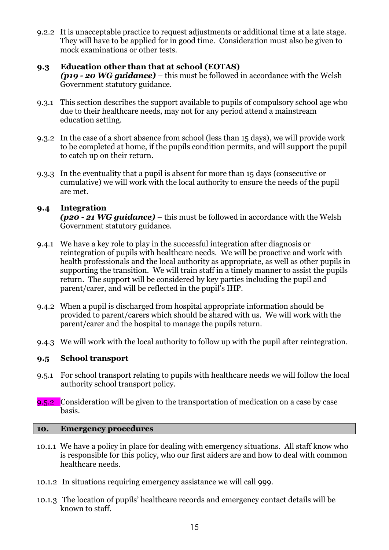9.2.2 It is unacceptable practice to request adjustments or additional time at a late stage. They will have to be applied for in good time. Consideration must also be given to mock examinations or other tests.

### **9.3 Education other than that at school (EOTAS)**

*(p19 - 20 WG guidance)* – this must be followed in accordance with the Welsh Government statutory guidance.

- 9.3.1 This section describes the support available to pupils of compulsory school age who due to their healthcare needs, may not for any period attend a mainstream education setting.
- 9.3.2 In the case of a short absence from school (less than 15 days), we will provide work to be completed at home, if the pupils condition permits, and will support the pupil to catch up on their return.
- 9.3.3 In the eventuality that a pupil is absent for more than 15 days (consecutive or cumulative) we will work with the local authority to ensure the needs of the pupil are met.

### **9.4 Integration**

*(p20 - 21 WG guidance)* – this must be followed in accordance with the Welsh Government statutory guidance.

- 9.4.1 We have a key role to play in the successful integration after diagnosis or reintegration of pupils with healthcare needs. We will be proactive and work with health professionals and the local authority as appropriate, as well as other pupils in supporting the transition. We will train staff in a timely manner to assist the pupils return. The support will be considered by key parties including the pupil and parent/carer, and will be reflected in the pupil's IHP.
- 9.4.2 When a pupil is discharged from hospital appropriate information should be provided to parent/carers which should be shared with us. We will work with the parent/carer and the hospital to manage the pupils return.
- 9.4.3 We will work with the local authority to follow up with the pupil after reintegration.

### **9.5 School transport**

- 9.5.1 For school transport relating to pupils with healthcare needs we will follow the local authority school transport policy.
- 9.5.2 Consideration will be given to the transportation of medication on a case by case basis.

### **10. Emergency procedures**

- 10.1.1 We have a policy in place for dealing with emergency situations. All staff know who is responsible for this policy, who our first aiders are and how to deal with common healthcare needs.
- 10.1.2 In situations requiring emergency assistance we will call 999.
- 10.1.3 The location of pupils' healthcare records and emergency contact details will be known to staff.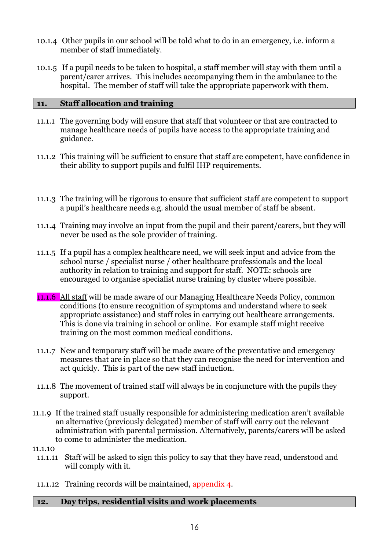- 10.1.4 Other pupils in our school will be told what to do in an emergency, i.e. inform a member of staff immediately.
- 10.1.5 If a pupil needs to be taken to hospital, a staff member will stay with them until a parent/carer arrives. This includes accompanying them in the ambulance to the hospital. The member of staff will take the appropriate paperwork with them.

### **11. Staff allocation and training**

- 11.1.1 The governing body will ensure that staff that volunteer or that are contracted to manage healthcare needs of pupils have access to the appropriate training and guidance.
- 11.1.2 This training will be sufficient to ensure that staff are competent, have confidence in their ability to support pupils and fulfil IHP requirements.
- 11.1.3 The training will be rigorous to ensure that sufficient staff are competent to support a pupil's healthcare needs e.g. should the usual member of staff be absent.
- 11.1.4 Training may involve an input from the pupil and their parent/carers, but they will never be used as the sole provider of training.
- 11.1.5 If a pupil has a complex healthcare need, we will seek input and advice from the school nurse / specialist nurse / other healthcare professionals and the local authority in relation to training and support for staff. NOTE: schools are encouraged to organise specialist nurse training by cluster where possible.
- 11.1.6 All staff will be made aware of our Managing Healthcare Needs Policy, common conditions (to ensure recognition of symptoms and understand where to seek appropriate assistance) and staff roles in carrying out healthcare arrangements. This is done via training in school or online. For example staff might receive training on the most common medical conditions.
- 11.1.7 New and temporary staff will be made aware of the preventative and emergency measures that are in place so that they can recognise the need for intervention and act quickly. This is part of the new staff induction.
- 11.1.8 The movement of trained staff will always be in conjuncture with the pupils they support.
- 11.1.9 If the trained staff usually responsible for administering medication aren't available an alternative (previously delegated) member of staff will carry out the relevant administration with parental permission. Alternatively, parents/carers will be asked to come to administer the medication.
- 11.1.10
	- 11.1.11 Staff will be asked to sign this policy to say that they have read, understood and will comply with it.
- 11.1.12 Training records will be maintained, appendix 4.

### **12. Day trips, residential visits and work placements**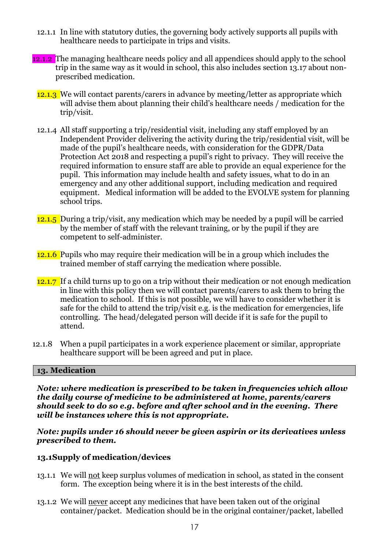- 12.1.1 In line with statutory duties, the governing body actively supports all pupils with healthcare needs to participate in trips and visits.
- 12.1.2 The managing healthcare needs policy and all appendices should apply to the school trip in the same way as it would in school, this also includes section 13.17 about nonprescribed medication.
	- 12.1.3 We will contact parents/carers in advance by meeting/letter as appropriate which will advise them about planning their child's healthcare needs / medication for the trip/visit.
	- 12.1.4 All staff supporting a trip/residential visit, including any staff employed by an Independent Provider delivering the activity during the trip/residential visit, will be made of the pupil's healthcare needs, with consideration for the GDPR/Data Protection Act 2018 and respecting a pupil's right to privacy. They will receive the required information to ensure staff are able to provide an equal experience for the pupil. This information may include health and safety issues, what to do in an emergency and any other additional support, including medication and required equipment. Medical information will be added to the EVOLVE system for planning school trips.
	- 12.1.5 During a trip/visit, any medication which may be needed by a pupil will be carried by the member of staff with the relevant training, or by the pupil if they are competent to self-administer.
	- 12.1.6 Pupils who may require their medication will be in a group which includes the trained member of staff carrying the medication where possible.
	- 12.1.7 If a child turns up to go on a trip without their medication or not enough medication in line with this policy then we will contact parents/carers to ask them to bring the medication to school. If this is not possible, we will have to consider whether it is safe for the child to attend the trip/visit e.g. is the medication for emergencies, life controlling. The head/delegated person will decide if it is safe for the pupil to attend.
- 12.1.8 When a pupil participates in a work experience placement or similar, appropriate healthcare support will be been agreed and put in place.

### **13. Medication**

*Note: where medication is prescribed to be taken in frequencies which allow the daily course of medicine to be administered at home, parents/carers should seek to do so e.g. before and after school and in the evening. There will be instances where this is not appropriate.* 

*Note: pupils under 16 should never be given aspirin or its derivatives unless prescribed to them.*

### **13.1Supply of medication/devices**

- 13.1.1 We will not keep surplus volumes of medication in school, as stated in the consent form. The exception being where it is in the best interests of the child.
- 13.1.2 We will never accept any medicines that have been taken out of the original container/packet. Medication should be in the original container/packet, labelled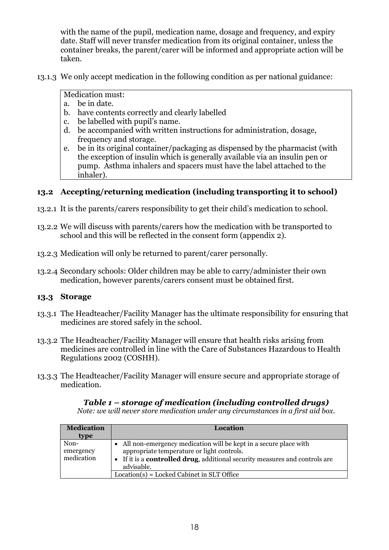with the name of the pupil, medication name, dosage and frequency, and expiry date. Staff will never transfer medication from its original container, unless the container breaks, the parent/carer will be informed and appropriate action will be taken.

13.1.3 We only accept medication in the following condition as per national guidance:

# Medication must:

- a. be in date.
- b. have contents correctly and clearly labelled
- c. be labelled with pupil's name.
- d. be accompanied with written instructions for administration, dosage, frequency and storage.
- e. be in its original container/packaging as dispensed by the pharmacist (with the exception of insulin which is generally available via an insulin pen or pump. Asthma inhalers and spacers must have the label attached to the inhaler).

# **13.2 Accepting/returning medication (including transporting it to school)**

- 13.2.1 It is the parents/carers responsibility to get their child's medication to school.
- 13.2.2 We will discuss with parents/carers how the medication with be transported to school and this will be reflected in the consent form (appendix 2).
- 13.2.3 Medication will only be returned to parent/carer personally.
- 13.2.4 Secondary schools: Older children may be able to carry/administer their own medication, however parents/carers consent must be obtained first.

# **13.3 Storage**

- 13.3.1 The Headteacher/Facility Manager has the ultimate responsibility for ensuring that medicines are stored safely in the school.
- 13.3.2 The Headteacher/Facility Manager will ensure that health risks arising from medicines are controlled in line with the Care of Substances Hazardous to Health Regulations 2002 (COSHH).
- 13.3.3 The Headteacher/Facility Manager will ensure secure and appropriate storage of medication.

### *Table 1 – storage of medication (including controlled drugs) Note: we will never store medication under any circumstances in a first aid box.*

| <b>Medication</b>               | Location                                                                                                                                                                                                              |
|---------------------------------|-----------------------------------------------------------------------------------------------------------------------------------------------------------------------------------------------------------------------|
| type                            |                                                                                                                                                                                                                       |
| Non-<br>emergency<br>medication | • All non-emergency medication will be kept in a secure place with<br>appropriate temperature or light controls.<br>• If it is a <b>controlled drug</b> , additional security measures and controls are<br>advisable. |
|                                 | $Location(s) = Locked Cabinet in SLT Office$                                                                                                                                                                          |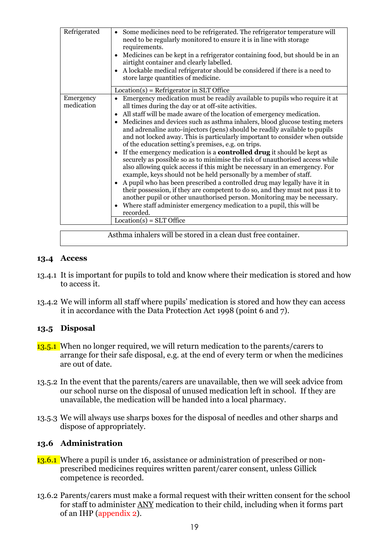| Refrigerated            | • Some medicines need to be refrigerated. The refrigerator temperature will<br>need to be regularly monitored to ensure it is in line with storage<br>requirements.<br>Medicines can be kept in a refrigerator containing food, but should be in an<br>$\bullet$<br>airtight container and clearly labelled.<br>A lockable medical refrigerator should be considered if there is a need to<br>$\bullet$<br>store large quantities of medicine.                                                                                                                                                                                                                                                                                                                                                                                                                                                                                                                                                                                                                                                                                                                                                                                                                               |
|-------------------------|------------------------------------------------------------------------------------------------------------------------------------------------------------------------------------------------------------------------------------------------------------------------------------------------------------------------------------------------------------------------------------------------------------------------------------------------------------------------------------------------------------------------------------------------------------------------------------------------------------------------------------------------------------------------------------------------------------------------------------------------------------------------------------------------------------------------------------------------------------------------------------------------------------------------------------------------------------------------------------------------------------------------------------------------------------------------------------------------------------------------------------------------------------------------------------------------------------------------------------------------------------------------------|
|                         | $Location(s) = Refrigerator in SLT Office$                                                                                                                                                                                                                                                                                                                                                                                                                                                                                                                                                                                                                                                                                                                                                                                                                                                                                                                                                                                                                                                                                                                                                                                                                                   |
| Emergency<br>medication | Emergency medication must be readily available to pupils who require it at<br>$\bullet$<br>all times during the day or at off-site activities.<br>All staff will be made aware of the location of emergency medication.<br>$\bullet$<br>Medicines and devices such as asthma inhalers, blood glucose testing meters<br>$\bullet$<br>and adrenaline auto-injectors (pens) should be readily available to pupils<br>and not locked away. This is particularly important to consider when outside<br>of the education setting's premises, e.g. on trips.<br>If the emergency medication is a <b>controlled drug</b> it should be kept as<br>$\bullet$<br>securely as possible so as to minimise the risk of unauthorised access while<br>also allowing quick access if this might be necessary in an emergency. For<br>example, keys should not be held personally by a member of staff.<br>A pupil who has been prescribed a controlled drug may legally have it in<br>$\bullet$<br>their possession, if they are competent to do so, and they must not pass it to<br>another pupil or other unauthorised person. Monitoring may be necessary.<br>Where staff administer emergency medication to a pupil, this will be<br>$\bullet$<br>recorded.<br>$Location(s) = SLT$ Office |
|                         | Asthma inhalers will be stored in a clean dust free container.                                                                                                                                                                                                                                                                                                                                                                                                                                                                                                                                                                                                                                                                                                                                                                                                                                                                                                                                                                                                                                                                                                                                                                                                               |
|                         |                                                                                                                                                                                                                                                                                                                                                                                                                                                                                                                                                                                                                                                                                                                                                                                                                                                                                                                                                                                                                                                                                                                                                                                                                                                                              |

# **13.4 Access**

- 13.4.1 It is important for pupils to told and know where their medication is stored and how to access it.
- 13.4.2 We will inform all staff where pupils' medication is stored and how they can access it in accordance with the Data Protection Act 1998 (point 6 and 7).

# **13.5 Disposal**

- 13.5.1 When no longer required, we will return medication to the parents/carers to arrange for their safe disposal, e.g. at the end of every term or when the medicines are out of date.
- 13.5.2 In the event that the parents/carers are unavailable, then we will seek advice from our school nurse on the disposal of unused medication left in school. If they are unavailable, the medication will be handed into a local pharmacy.
- 13.5.3 We will always use sharps boxes for the disposal of needles and other sharps and dispose of appropriately.

# **13.6 Administration**

- 13.6.1 Where a pupil is under 16, assistance or administration of prescribed or nonprescribed medicines requires written parent/carer consent, unless Gillick competence is recorded.
- 13.6.2 Parents/carers must make a formal request with their written consent for the school for staff to administer ANY medication to their child, including when it forms part of an IHP (appendix 2).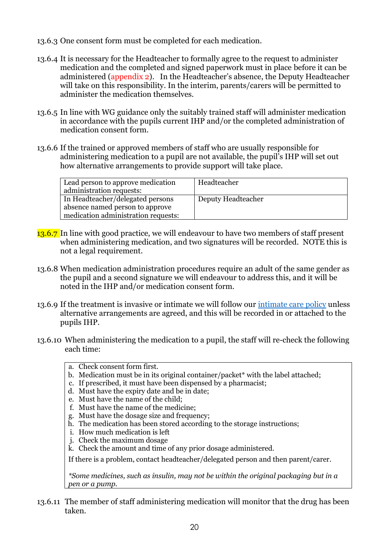- 13.6.3 One consent form must be completed for each medication.
- 13.6.4 It is necessary for the Headteacher to formally agree to the request to administer medication and the completed and signed paperwork must in place before it can be administered (appendix 2). In the Headteacher's absence, the Deputy Headteacher will take on this responsibility. In the interim, parents/carers will be permitted to administer the medication themselves.
- 13.6.5 In line with WG guidance only the suitably trained staff will administer medication in accordance with the pupils current IHP and/or the completed administration of medication consent form.
- 13.6.6 If the trained or approved members of staff who are usually responsible for administering medication to a pupil are not available, the pupil's IHP will set out how alternative arrangements to provide support will take place.

| Lead person to approve medication<br>administration requests: | Headteacher        |
|---------------------------------------------------------------|--------------------|
| In Headteacher/delegated persons                              | Deputy Headteacher |
| absence named person to approve                               |                    |
| medication administration requests:                           |                    |

- 13.6.7 In line with good practice, we will endeavour to have two members of staff present when administering medication, and two signatures will be recorded. NOTE this is not a legal requirement.
- 13.6.8 When medication administration procedures require an adult of the same gender as the pupil and a second signature we will endeavour to address this, and it will be noted in the IHP and/or medication consent form.
- 13.6.9 If the treatment is invasive or intimate we will follow our [intimate care policy](https://www.denbighshire.gov.uk/en/employee/information-for-school-employees/intimate-care-and-toileting/intimate-care-and-toileting.aspx) unless alternative arrangements are agreed, and this will be recorded in or attached to the pupils IHP.
- 13.6.10 When administering the medication to a pupil, the staff will re-check the following each time:
	- a. Check consent form first.
	- b. Medication must be in its original container/packet\* with the label attached;
	- c. If prescribed, it must have been dispensed by a pharmacist;
	- d. Must have the expiry date and be in date;
	- e. Must have the name of the child;
	- f. Must have the name of the medicine;
	- g. Must have the dosage size and frequency;
	- h. The medication has been stored according to the storage instructions;
	- i. How much medication is left
	- j. Check the maximum dosage
	- k. Check the amount and time of any prior dosage administered.

If there is a problem, contact headteacher/delegated person and then parent/carer.

*\*Some medicines, such as insulin, may not be within the original packaging but in a pen or a pump.*

13.6.11 The member of staff administering medication will monitor that the drug has been taken.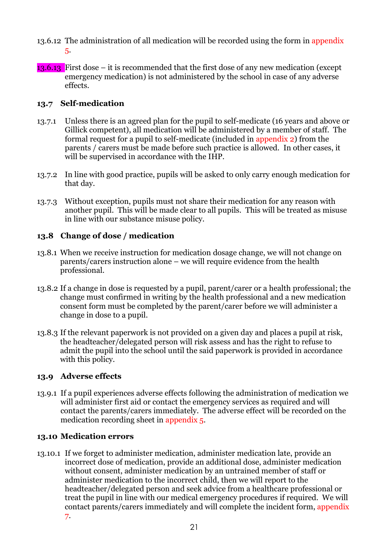- 13.6.12 The administration of all medication will be recorded using the form in appendix 5.
- 13.6.13 First dose it is recommended that the first dose of any new medication (except emergency medication) is not administered by the school in case of any adverse effects.

# **13.7 Self-medication**

- 13.7.1 Unless there is an agreed plan for the pupil to self-medicate (16 years and above or Gillick competent), all medication will be administered by a member of staff. The formal request for a pupil to self-medicate (included in appendix 2) from the parents / carers must be made before such practice is allowed. In other cases, it will be supervised in accordance with the IHP.
- 13.7.2 In line with good practice, pupils will be asked to only carry enough medication for that day.
- 13.7.3 Without exception, pupils must not share their medication for any reason with another pupil. This will be made clear to all pupils. This will be treated as misuse in line with our substance misuse policy.

# **13.8 Change of dose / medication**

- 13.8.1 When we receive instruction for medication dosage change, we will not change on  $b^2$  parents/carers instruction alone – we will require evidence from the health professional.
- 13.8.2 If a change in dose is requested by a pupil, parent/carer or a health professional; the change must confirmed in writing by the health professional and a new medication consent form must be completed by the parent/carer before we will administer a change in dose to a pupil.
- 13.8.3 If the relevant paperwork is not provided on a given day and places a pupil at risk, the headteacher/delegated person will risk assess and has the right to refuse to admit the pupil into the school until the said paperwork is provided in accordance with this policy.

# **13.9 Adverse effects**

13.9.1 If a pupil experiences adverse effects following the administration of medication we will administer first aid or contact the emergency services as required and will contact the parents/carers immediately. The adverse effect will be recorded on the medication recording sheet in appendix 5.

# **13.10 Medication errors**

13.10.1 If we forget to administer medication, administer medication late, provide an incorrect dose of medication, provide an additional dose, administer medication without consent, administer medication by an untrained member of staff or administer medication to the incorrect child, then we will report to the headteacher/delegated person and seek advice from a healthcare professional or treat the pupil in line with our medical emergency procedures if required. We will contact parents/carers immediately and will complete the incident form, appendix 7.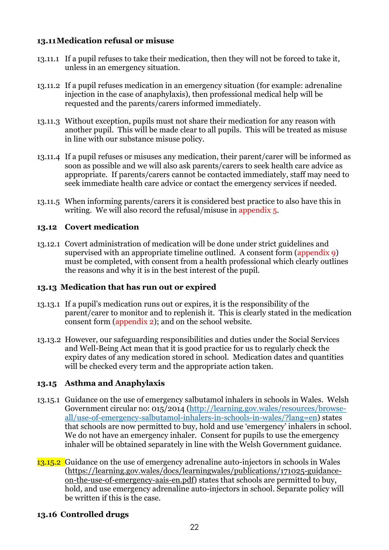# **13.11Medication refusal or misuse**

- 13.11.1 If a pupil refuses to take their medication, then they will not be forced to take it, unless in an emergency situation.
- 13.11.2 If a pupil refuses medication in an emergency situation (for example: adrenaline injection in the case of anaphylaxis), then professional medical help will be requested and the parents/carers informed immediately.
- 13.11.3 Without exception, pupils must not share their medication for any reason with another pupil. This will be made clear to all pupils. This will be treated as misuse in line with our substance misuse policy.
- 13.11.4 If a pupil refuses or misuses any medication, their parent/carer will be informed as soon as possible and we will also ask parents/carers to seek health care advice as appropriate. If parents/carers cannot be contacted immediately, staff may need to seek immediate health care advice or contact the emergency services if needed.
- 13.11.5 When informing parents/carers it is considered best practice to also have this in writing. We will also record the refusal/misuse in appendix 5.

### **13.12 Covert medication**

13.12.1 Covert administration of medication will be done under strict guidelines and supervised with an appropriate timeline outlined. A consent form (appendix 9) must be completed, with consent from a health professional which clearly outlines the reasons and why it is in the best interest of the pupil.

### **13.13 Medication that has run out or expired**

- 13.13.1 If a pupil's medication runs out or expires, it is the responsibility of the parent/carer to monitor and to replenish it. This is clearly stated in the medication consent form (appendix 2); and on the school website.
- 13.13.2 However, our safeguarding responsibilities and duties under the Social Services and Well-Being Act mean that it is good practice for us to regularly check the expiry dates of any medication stored in school. Medication dates and quantities will be checked every term and the appropriate action taken.

### **13.15 Asthma and Anaphylaxis**

- 13.15.1 Guidance on the use of emergency salbutamol inhalers in schools in Wales. Welsh Government circular no: 015/2014 [\(http://learning.gov.wales/resources/browse](http://learning.gov.wales/resources/browse-all/use-of-emergency-salbutamol-inhalers-in-schools-in-wales/?lang=en)[all/use-of-emergency-salbutamol-inhalers-in-schools-in-wales/?lang=en\)](http://learning.gov.wales/resources/browse-all/use-of-emergency-salbutamol-inhalers-in-schools-in-wales/?lang=en) states that schools are now permitted to buy, hold and use 'emergency' inhalers in school. We do not have an emergency inhaler. Consent for pupils to use the emergency inhaler will be obtained separately in line with the Welsh Government guidance.
- 13.15.2 Guidance on the use of emergency adrenaline auto-injectors in schools in Wales [\(https://learning.gov.wales/docs/learningwales/publications/171025-guidance](https://learning.gov.wales/docs/learningwales/publications/171025-guidance-on-the-use-of-emergency-aais-en.pdf)[on-the-use-of-emergency-aais-en.pdf\)](https://learning.gov.wales/docs/learningwales/publications/171025-guidance-on-the-use-of-emergency-aais-en.pdf) states that schools are permitted to buy, hold, and use emergency adrenaline auto-injectors in school. Separate policy will be written if this is the case.

### **13.16 Controlled drugs**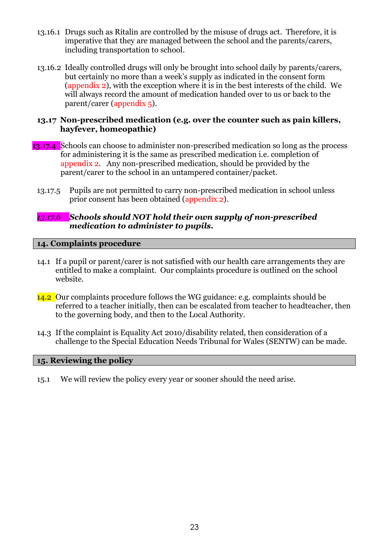- 13.16.1 Drugs such as Ritalin are controlled by the misuse of drugs act. Therefore, it is imperative that they are managed between the school and the parents/carers, including transportation to school.
- 13.16.2 Ideally controlled drugs will only be brought into school daily by parents/carers, but certainly no more than a week's supply as indicated in the consent form (appendix 2), with the exception where it is in the best interests of the child. We will always record the amount of medication handed over to us or back to the parent/carer (appendix 5).

### **13.17 Non-prescribed medication (e.g. over the counter such as pain killers, hayfever, homeopathic)**

- 13.17.4 Schools can choose to administer non-prescribed medication so long as the process for administering it is the same as prescribed medication i.e. completion of appendix 2. Any non-prescribed medication, should be provided by the parent/carer to the school in an untampered container/packet.
	- 13.17.5 Pupils are not permitted to carry non-prescribed medication in school unless prior consent has been obtained (appendix 2).

### *13.17.6 Schools should NOT hold their own supply of non-prescribed medication to administer to pupils.*

### **14. Complaints procedure**

- 14.1 If a pupil or parent/carer is not satisfied with our health care arrangements they are entitled to make a complaint. Our complaints procedure is outlined on the school website.
- 14.2 Our complaints procedure follows the WG guidance: e.g. complaints should be referred to a teacher initially, then can be escalated from teacher to headteacher, then to the governing body, and then to the Local Authority.
- 14.3 If the complaint is Equality Act 2010/disability related, then consideration of a challenge to the Special Education Needs Tribunal for Wales (SENTW) can be made.

### **15. Reviewing the policy**

15.1 We will review the policy every year or sooner should the need arise.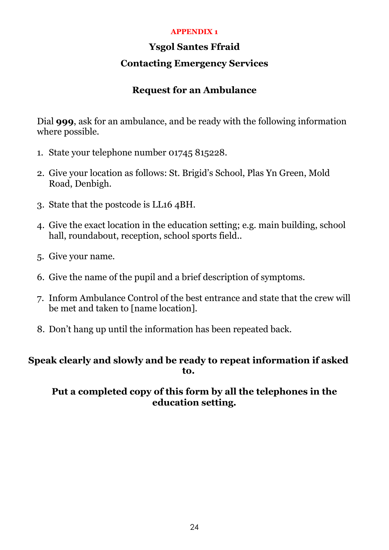# **APPENDIX 1**

# **Ysgol Santes Ffraid**

# **Contacting Emergency Services**

# **Request for an Ambulance**

Dial **999**, ask for an ambulance, and be ready with the following information where possible.

- 1. State your telephone number 01745 815228.
- 2. Give your location as follows: St. Brigid's School, Plas Yn Green, Mold Road, Denbigh.
- 3. State that the postcode is LL16 4BH.
- 4. Give the exact location in the education setting; e.g. main building, school hall, roundabout, reception, school sports field..
- 5. Give your name.
- 6. Give the name of the pupil and a brief description of symptoms.
- 7. Inform Ambulance Control of the best entrance and state that the crew will be met and taken to [name location].
- 8. Don't hang up until the information has been repeated back.

# **Speak clearly and slowly and be ready to repeat information if asked to.**

# **Put a completed copy of this form by all the telephones in the education setting.**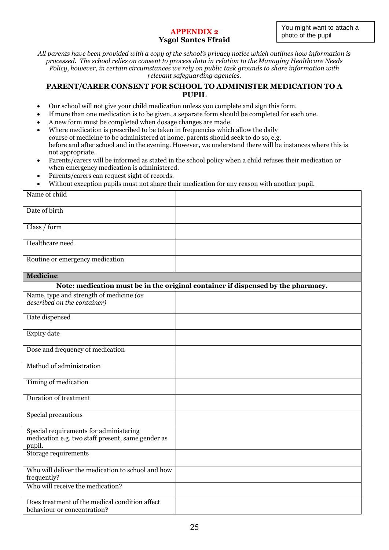#### **APPENDIX 2** photo of the pupil **Ysgol Santes Ffraid**

*All parents have been provided with a copy of the school's privacy notice which outlines how information is processed. The school relies on consent to process data in relation to the Managing Healthcare Needs Policy, however, in certain circumstances we rely on public task grounds to share information with relevant safeguarding agencies.*

### **PARENT/CARER CONSENT FOR SCHOOL TO ADMINISTER MEDICATION TO A PUPIL**

- Our school will not give your child medication unless you complete and sign this form.
- If more than one medication is to be given, a separate form should be completed for each one.
- A new form must be completed when dosage changes are made.
- Where medication is prescribed to be taken in frequencies which allow the daily course of medicine to be administered at home, parents should seek to do so, e.g. before and after school and in the evening. However, we understand there will be instances where this is not appropriate.
- Parents/carers will be informed as stated in the school policy when a child refuses their medication or when emergency medication is administered.
- Parents/carers can request sight of records.
- Without exception pupils must not share their medication for any reason with another pupil.

| Name of child                                                                                         |                                                                                  |
|-------------------------------------------------------------------------------------------------------|----------------------------------------------------------------------------------|
| Date of birth                                                                                         |                                                                                  |
| Class / form                                                                                          |                                                                                  |
| Healthcare need                                                                                       |                                                                                  |
| Routine or emergency medication                                                                       |                                                                                  |
| <b>Medicine</b>                                                                                       |                                                                                  |
|                                                                                                       | Note: medication must be in the original container if dispensed by the pharmacy. |
| Name, type and strength of medicine (as<br>described on the container)                                |                                                                                  |
| Date dispensed                                                                                        |                                                                                  |
| Expiry date                                                                                           |                                                                                  |
| Dose and frequency of medication                                                                      |                                                                                  |
| Method of administration                                                                              |                                                                                  |
| Timing of medication                                                                                  |                                                                                  |
| <b>Duration of treatment</b>                                                                          |                                                                                  |
| Special precautions                                                                                   |                                                                                  |
| Special requirements for administering<br>medication e.g. two staff present, same gender as<br>pupil. |                                                                                  |
| Storage requirements                                                                                  |                                                                                  |
| Who will deliver the medication to school and how<br>frequently?                                      |                                                                                  |
| Who will receive the medication?                                                                      |                                                                                  |
| Does treatment of the medical condition affect<br>behaviour or concentration?                         |                                                                                  |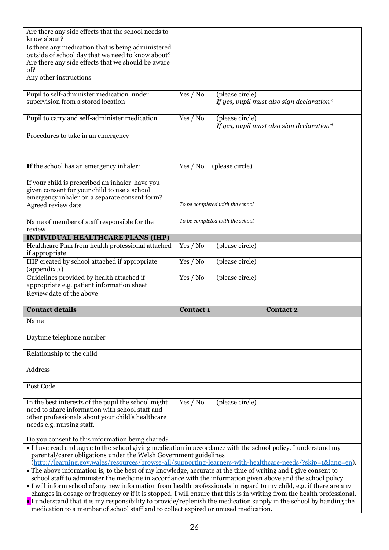| Are there any side effects that the school needs to<br>know about?                                                                                                                                                                                                                           |                  |                                 |                                           |  |
|----------------------------------------------------------------------------------------------------------------------------------------------------------------------------------------------------------------------------------------------------------------------------------------------|------------------|---------------------------------|-------------------------------------------|--|
| Is there any medication that is being administered<br>outside of school day that we need to know about?<br>Are there any side effects that we should be aware<br>of?                                                                                                                         |                  |                                 |                                           |  |
| Any other instructions                                                                                                                                                                                                                                                                       |                  |                                 |                                           |  |
| Pupil to self-administer medication under<br>supervision from a stored location                                                                                                                                                                                                              | Yes / No         | (please circle)                 | If yes, pupil must also sign declaration* |  |
| Pupil to carry and self-administer medication                                                                                                                                                                                                                                                | Yes / No         | (please circle)                 | If yes, pupil must also sign declaration* |  |
| Procedures to take in an emergency                                                                                                                                                                                                                                                           |                  |                                 |                                           |  |
| If the school has an emergency inhaler:                                                                                                                                                                                                                                                      | Yes / No         | (please circle)                 |                                           |  |
| If your child is prescribed an inhaler have you<br>given consent for your child to use a school<br>emergency inhaler on a separate consent form?                                                                                                                                             |                  |                                 |                                           |  |
| Agreed review date                                                                                                                                                                                                                                                                           |                  | To be completed with the school |                                           |  |
| Name of member of staff responsible for the<br>review                                                                                                                                                                                                                                        |                  | To be completed with the school |                                           |  |
| <b>INDIVIDUAL HEALTHCARE PLANS (IHP)</b>                                                                                                                                                                                                                                                     |                  |                                 |                                           |  |
| Healthcare Plan from health professional attached<br>if appropriate                                                                                                                                                                                                                          | Yes / No         | (please circle)                 |                                           |  |
| IHP created by school attached if appropriate<br>(appendix 3)                                                                                                                                                                                                                                | Yes / No         | (please circle)                 |                                           |  |
| Guidelines provided by health attached if<br>appropriate e.g. patient information sheet                                                                                                                                                                                                      | Yes / No         | (please circle)                 |                                           |  |
| Review date of the above                                                                                                                                                                                                                                                                     |                  |                                 |                                           |  |
| <b>Contact details</b>                                                                                                                                                                                                                                                                       | <b>Contact 1</b> |                                 | <b>Contact 2</b>                          |  |
| Name                                                                                                                                                                                                                                                                                         |                  |                                 |                                           |  |
| Daytime telephone number                                                                                                                                                                                                                                                                     |                  |                                 |                                           |  |
| Relationship to the child                                                                                                                                                                                                                                                                    |                  |                                 |                                           |  |
| Address                                                                                                                                                                                                                                                                                      |                  |                                 |                                           |  |
| Post Code                                                                                                                                                                                                                                                                                    |                  |                                 |                                           |  |
| In the best interests of the pupil the school might<br>need to share information with school staff and<br>other professionals about your child's healthcare<br>needs e.g. nursing staff.                                                                                                     | Yes / No         | (please circle)                 |                                           |  |
| Do you consent to this information being shared?                                                                                                                                                                                                                                             |                  |                                 |                                           |  |
| • I have read and agree to the school giving medication in accordance with the school policy. I understand my<br>parental/carer obligations under the Welsh Government guidelines<br>(http://learning.gov.wales/resources/browse-all/supporting-learners-with-healthcare-needs/?skip=1⟨=en). |                  |                                 |                                           |  |
| • The above information is, to the best of my knowledge, accurate at the time of writing and I give consent to<br>school staff to administer the medicine in accordance with the information given above and the school policy.                                                              |                  |                                 |                                           |  |

• I will inform school of any new information from health professionals in regard to my child, e.g. if there are any changes in dosage or frequency or if it is stopped. I will ensure that this is in writing from the health professional.

• I understand that it is my responsibility to provide/replenish the medication supply in the school by handing the medication to a member of school staff and to collect expired or unused medication.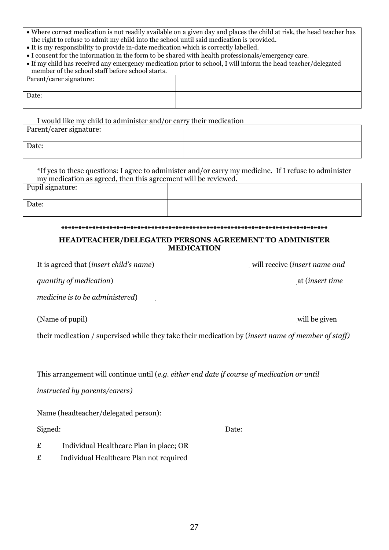- Where correct medication is not readily available on a given day and places the child at risk, the head teacher has the right to refuse to admit my child into the school until said medication is provided.
- It is my responsibility to provide in-date medication which is correctly labelled.
- I consent for the information in the form to be shared with health professionals/emergency care.

| • If my child has received any emergency medication prior to school, I will inform the head teacher/delegated |  |  |  |
|---------------------------------------------------------------------------------------------------------------|--|--|--|
| member of the school staff before school starts.                                                              |  |  |  |
| Parent/carer signature:                                                                                       |  |  |  |
|                                                                                                               |  |  |  |

Date:

### I would like my child to administer and/or carry their medication

| Parent/carer signature: |  |
|-------------------------|--|
| Date:                   |  |

\*If yes to these questions: I agree to administer and/or carry my medicine. If I refuse to administer my medication as agreed, then this agreement will be reviewed. Pupil signature:

Date:

### **\*\*\*\*\*\*\*\*\*\*\*\*\*\*\*\*\*\*\*\*\*\*\*\*\*\*\*\*\*\*\*\*\*\*\*\*\*\*\*\*\*\*\*\*\*\*\*\*\*\*\*\*\*\*\*\*\*\*\*\*\*\*\*\*\*\*\*\*\*\*\*\*\*\*\*\*\***

### **HEADTEACHER/DELEGATED PERSONS AGREEMENT TO ADMINISTER MEDICATION**

It is agreed that (*insert child's name*) will receive (*insert name and* 

*quantity of medication*) at (*insert time* 

*medicine is to be administered*)

(Name of pupil) will be given

their medication / supervised while they take their medication by (*insert name of member of staff)*

This arrangement will continue until (*e.g. either end date if course of medication or until* 

*instructed by parents/carers)*

Name (headteacher/delegated person):

Signed: Date:

- £ Individual Healthcare Plan in place; OR
- £ Individual Healthcare Plan not required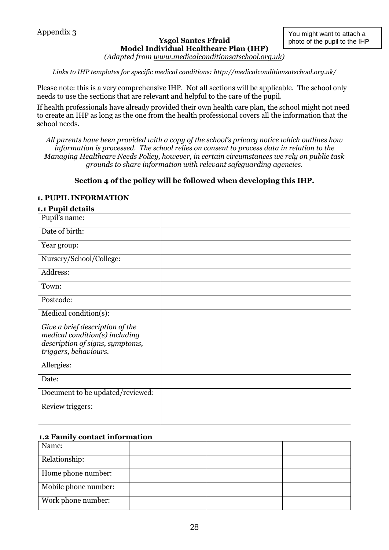#### **Ysgol Santes Ffraid Model Individual Healthcare Plan (IHP)** *(Adapted from [www.medicalconditionsatschool.org.uk\)](http://www.medicalconditionsatschool.org.uk/)*

*Links to IHP templates for specific medical conditions:<http://medicalconditionsatschool.org.uk/>*

Please note: this is a very comprehensive IHP. Not all sections will be applicable. The school only needs to use the sections that are relevant and helpful to the care of the pupil.

If health professionals have already provided their own health care plan, the school might not need to create an IHP as long as the one from the health professional covers all the information that the school needs.

*All parents have been provided with a copy of the school's privacy notice which outlines how information is processed. The school relies on consent to process data in relation to the Managing Healthcare Needs Policy, however, in certain circumstances we rely on public task grounds to share information with relevant safeguarding agencies.*

### **Section 4 of the policy will be followed when developing this IHP.**

### **1. PUPIL INFORMATION**

#### **1.1 Pupil details**

| Pupil's name:                                                                                                                 |  |
|-------------------------------------------------------------------------------------------------------------------------------|--|
| Date of birth:                                                                                                                |  |
| Year group:                                                                                                                   |  |
| Nursery/School/College:                                                                                                       |  |
| Address:                                                                                                                      |  |
| Town:                                                                                                                         |  |
| Postcode:                                                                                                                     |  |
| Medical condition(s):                                                                                                         |  |
| Give a brief description of the<br>medical condition(s) including<br>description of signs, symptoms,<br>triggers, behaviours. |  |
| Allergies:                                                                                                                    |  |
| Date:                                                                                                                         |  |
| Document to be updated/reviewed:                                                                                              |  |
| Review triggers:                                                                                                              |  |
|                                                                                                                               |  |

### **1.2 Family contact information**

| Name:                |  |  |
|----------------------|--|--|
| Relationship:        |  |  |
| Home phone number:   |  |  |
| Mobile phone number: |  |  |
| Work phone number:   |  |  |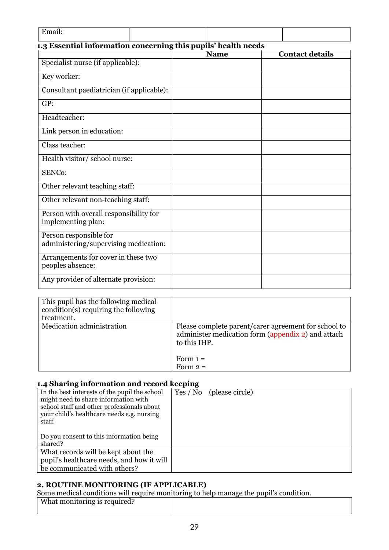| Email:                                                          |             |  |                        |  |  |  |
|-----------------------------------------------------------------|-------------|--|------------------------|--|--|--|
| 1.3 Essential information concerning this pupils' health needs  |             |  |                        |  |  |  |
|                                                                 | <b>Name</b> |  | <b>Contact details</b> |  |  |  |
| Specialist nurse (if applicable):                               |             |  |                        |  |  |  |
| Key worker:                                                     |             |  |                        |  |  |  |
| Consultant paediatrician (if applicable):                       |             |  |                        |  |  |  |
| GP:                                                             |             |  |                        |  |  |  |
| Headteacher:                                                    |             |  |                        |  |  |  |
| Link person in education:                                       |             |  |                        |  |  |  |
| Class teacher:                                                  |             |  |                        |  |  |  |
| Health visitor/school nurse:                                    |             |  |                        |  |  |  |
| SENCo:                                                          |             |  |                        |  |  |  |
| Other relevant teaching staff:                                  |             |  |                        |  |  |  |
| Other relevant non-teaching staff:                              |             |  |                        |  |  |  |
| Person with overall responsibility for<br>implementing plan:    |             |  |                        |  |  |  |
| Person responsible for<br>administering/supervising medication: |             |  |                        |  |  |  |
| Arrangements for cover in these two<br>peoples absence:         |             |  |                        |  |  |  |
| Any provider of alternate provision:                            |             |  |                        |  |  |  |

| This pupil has the following medical<br>condition(s) requiring the following<br>treatment. |                                                                                                                            |
|--------------------------------------------------------------------------------------------|----------------------------------------------------------------------------------------------------------------------------|
| Medication administration                                                                  | Please complete parent/carer agreement for school to<br>administer medication form (appendix 2) and attach<br>to this IHP. |
|                                                                                            | Form $1 =$<br>Form $2=$                                                                                                    |

# **1.4 Sharing information and record keeping**

| $\bullet$<br>In the best interests of the pupil the school<br>might need to share information with<br>school staff and other professionals about<br>your child's healthcare needs e.g. nursing<br>staff. | Yes / No (please circle) |
|----------------------------------------------------------------------------------------------------------------------------------------------------------------------------------------------------------|--------------------------|
| Do you consent to this information being<br>shared?                                                                                                                                                      |                          |
| What records will be kept about the<br>pupil's healthcare needs, and how it will<br>be communicated with others?                                                                                         |                          |

### **2. ROUTINE MONITORING (IF APPLICABLE)**

Some medical conditions will require monitoring to help manage the pupil's condition.

| What monitoring is required? |  |  |  |
|------------------------------|--|--|--|
|                              |  |  |  |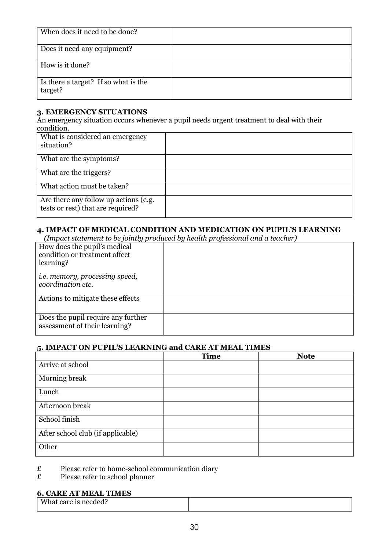| When does it need to be done?                   |  |
|-------------------------------------------------|--|
| Does it need any equipment?                     |  |
| How is it done?                                 |  |
| Is there a target? If so what is the<br>target? |  |

### **3. EMERGENCY SITUATIONS**

An emergency situation occurs whenever a pupil needs urgent treatment to deal with their condition.

| What is considered an emergency<br>situation?                              |  |
|----------------------------------------------------------------------------|--|
| What are the symptoms?                                                     |  |
| What are the triggers?                                                     |  |
| What action must be taken?                                                 |  |
| Are there any follow up actions (e.g.<br>tests or rest) that are required? |  |

# **4. IMPACT OF MEDICAL CONDITION AND MEDICATION ON PUPIL'S LEARNING**

 *(Impact statement to be jointly produced by health professional and a teacher)*

| How does the pupil's medical<br>condition or treatment affect<br>learning? |  |
|----------------------------------------------------------------------------|--|
| <i>i.e. memory, processing speed,</i><br>coordination etc.                 |  |
| Actions to mitigate these effects                                          |  |
| Does the pupil require any further<br>assessment of their learning?        |  |

### **5. IMPACT ON PUPIL'S LEARNING and CARE AT MEAL TIMES**

|                                   | <b>Time</b> | <b>Note</b> |
|-----------------------------------|-------------|-------------|
| Arrive at school                  |             |             |
| Morning break                     |             |             |
| Lunch                             |             |             |
| Afternoon break                   |             |             |
| School finish                     |             |             |
| After school club (if applicable) |             |             |
| Other                             |             |             |

 $\angle E$  Please refer to home-school communication diary<br>
Please refer to school planner

Please refer to school planner

# **6. CARE AT MEAL TIMES**

| What care is needed? |  |
|----------------------|--|
|                      |  |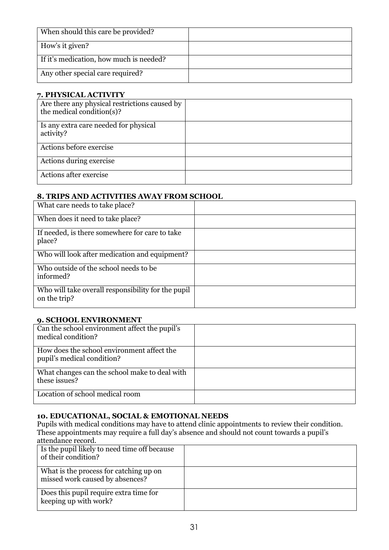| When should this care be provided?      |  |
|-----------------------------------------|--|
| How's it given?                         |  |
| If it's medication, how much is needed? |  |
| Any other special care required?        |  |

### **7. PHYSICAL ACTIVITY**

| Are there any physical restrictions caused by<br>the medical condition(s)? |  |
|----------------------------------------------------------------------------|--|
| Is any extra care needed for physical<br>activity?                         |  |
| Actions before exercise                                                    |  |
| Actions during exercise                                                    |  |
| Actions after exercise                                                     |  |

### **8. TRIPS AND ACTIVITIES AWAY FROM SCHOOL**

| What care needs to take place?                                     |  |
|--------------------------------------------------------------------|--|
| When does it need to take place?                                   |  |
| If needed, is there somewhere for care to take<br>place?           |  |
| Who will look after medication and equipment?                      |  |
| Who outside of the school needs to be<br>informed?                 |  |
| Who will take overall responsibility for the pupil<br>on the trip? |  |

### **9. SCHOOL ENVIRONMENT**

| Can the school environment affect the pupil's<br>medical condition?      |  |
|--------------------------------------------------------------------------|--|
| How does the school environment affect the<br>pupil's medical condition? |  |
| What changes can the school make to deal with<br>these issues?           |  |
| Location of school medical room                                          |  |

# **10. EDUCATIONAL, SOCIAL & EMOTIONAL NEEDS**

Pupils with medical conditions may have to attend clinic appointments to review their condition. These appointments may require a full day's absence and should not count towards a pupil's attendance record.

| Is the pupil likely to need time off because<br>of their condition?       |  |
|---------------------------------------------------------------------------|--|
| What is the process for catching up on<br>missed work caused by absences? |  |
| Does this pupil require extra time for<br>keeping up with work?           |  |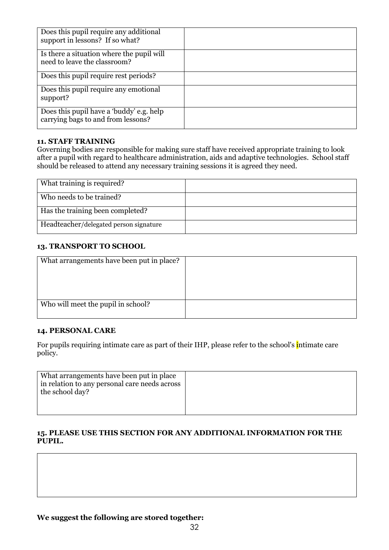| Does this pupil require any additional<br>support in lessons? If so what?      |  |
|--------------------------------------------------------------------------------|--|
| Is there a situation where the pupil will<br>need to leave the classroom?      |  |
| Does this pupil require rest periods?                                          |  |
| Does this pupil require any emotional<br>support?                              |  |
| Does this pupil have a 'buddy' e.g. help<br>carrying bags to and from lessons? |  |

### **11. STAFF TRAINING**

Governing bodies are responsible for making sure staff have received appropriate training to look after a pupil with regard to healthcare administration, aids and adaptive technologies. School staff should be released to attend any necessary training sessions it is agreed they need.

| What training is required?             |  |
|----------------------------------------|--|
| Who needs to be trained?               |  |
| Has the training been completed?       |  |
| Headteacher/delegated person signature |  |

### **13. TRANSPORT TO SCHOOL**

### **14. PERSONAL CARE**

For pupils requiring intimate care as part of their IHP, please refer to the school's intimate care policy.

| What arrangements have been put in place<br>in relation to any personal care needs across<br>the school day? |  |
|--------------------------------------------------------------------------------------------------------------|--|
|                                                                                                              |  |

### **15. PLEASE USE THIS SECTION FOR ANY ADDITIONAL INFORMATION FOR THE PUPIL.**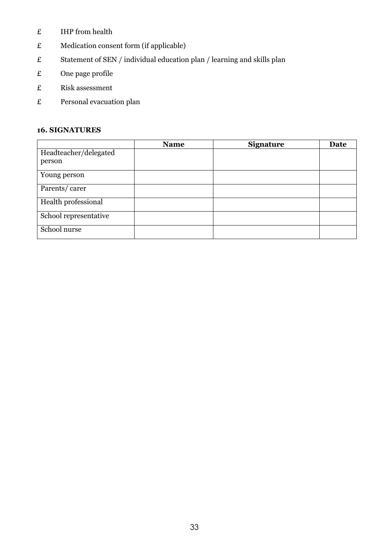- $E$  IHP from health
- £ Medication consent form (if applicable)
- £ Statement of SEN / individual education plan / learning and skills plan
- £ One page profile
- £ Risk assessment
- £ Personal evacuation plan

# **16. SIGNATURES**

|                                 | <b>Name</b> | <b>Signature</b> | Date |
|---------------------------------|-------------|------------------|------|
| Headteacher/delegated<br>person |             |                  |      |
| Young person                    |             |                  |      |
| Parents/carer                   |             |                  |      |
| Health professional             |             |                  |      |
| School representative           |             |                  |      |
| School nurse                    |             |                  |      |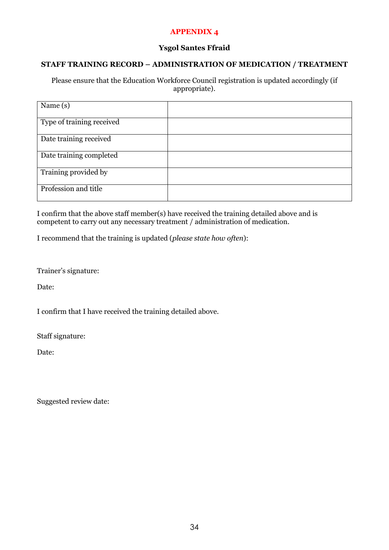### **APPENDIX 4**

### **Ysgol Santes Ffraid**

### **STAFF TRAINING RECORD – ADMINISTRATION OF MEDICATION / TREATMENT**

Please ensure that the Education Workforce Council registration is updated accordingly (if appropriate).

| Name $(s)$                |  |
|---------------------------|--|
| Type of training received |  |
| Date training received    |  |
| Date training completed   |  |
| Training provided by      |  |
| Profession and title      |  |

I confirm that the above staff member(s) have received the training detailed above and is competent to carry out any necessary treatment / administration of medication.

I recommend that the training is updated (*please state how often*):

Trainer's signature:

Date:

I confirm that I have received the training detailed above.

Staff signature:

Date:

Suggested review date: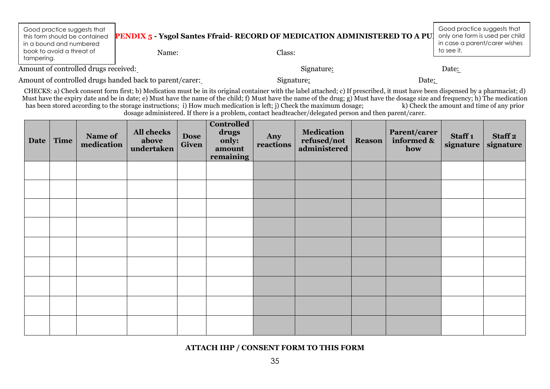| Good practice suggests that<br>this form should be contained<br>in a bound and numbered<br>book to avoid a threat of | Name: | <b>PENDIX 5 - Ysgol Santes Ffraid- RECORD OF MEDICATION ADMINISTERED TO A PU</b><br>Class: | Good practice suggests that<br>only one form is used per child<br>in case a parent/carer wishes<br>to see it. |
|----------------------------------------------------------------------------------------------------------------------|-------|--------------------------------------------------------------------------------------------|---------------------------------------------------------------------------------------------------------------|
| tampering.                                                                                                           |       |                                                                                            |                                                                                                               |
| Amount of controlled drugs received:                                                                                 |       | Signature:                                                                                 | Date <u>:</u>                                                                                                 |

Amount of controlled drugs handed back to parent/carer: Signature: Signature: Date: Date:

CHECKS: a) Check consent form first; b) Medication must be in its original container with the label attached; c) If prescribed, it must have been dispensed by a pharmacist; d) Must have the expiry date and be in date; e) Must have the name of the child; f) Must have the name of the drug; g) Must have the dosage size and frequency; h) The medication has been stored according to the storage instru has been stored according to the storage instructions; i) How much medication is left; j) Check the maximum dosage; dosage administered. If there is a problem, contact headteacher/delegated person and then parent/carer.

| Date | Time | Name of<br>medication | All checks<br>above<br>undertaken | <b>Dose</b><br>Given | <b>Controlled</b><br>drugs<br>only:<br>amount<br>remaining | Any<br>reactions | <b>Medication</b><br>refused/not<br>administered | <b>Reason</b> | Parent/carer<br>informed &<br>how | Staff <sub>1</sub><br>signature | Staff <sub>2</sub><br>signature |
|------|------|-----------------------|-----------------------------------|----------------------|------------------------------------------------------------|------------------|--------------------------------------------------|---------------|-----------------------------------|---------------------------------|---------------------------------|
|      |      |                       |                                   |                      |                                                            |                  |                                                  |               |                                   |                                 |                                 |
|      |      |                       |                                   |                      |                                                            |                  |                                                  |               |                                   |                                 |                                 |
|      |      |                       |                                   |                      |                                                            |                  |                                                  |               |                                   |                                 |                                 |
|      |      |                       |                                   |                      |                                                            |                  |                                                  |               |                                   |                                 |                                 |
|      |      |                       |                                   |                      |                                                            |                  |                                                  |               |                                   |                                 |                                 |
|      |      |                       |                                   |                      |                                                            |                  |                                                  |               |                                   |                                 |                                 |
|      |      |                       |                                   |                      |                                                            |                  |                                                  |               |                                   |                                 |                                 |
|      |      |                       |                                   |                      |                                                            |                  |                                                  |               |                                   |                                 |                                 |
|      |      |                       |                                   |                      |                                                            |                  |                                                  |               |                                   |                                 |                                 |

**ATTACH IHP / CONSENT FORM TO THIS FORM**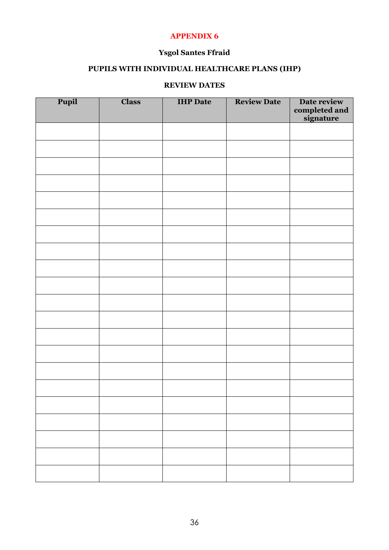### **APPENDIX 6**

# **Ysgol Santes Ffraid**

# **PUPILS WITH INDIVIDUAL HEALTHCARE PLANS (IHP)**

### **REVIEW DATES**

| Pupil | <b>Class</b> | <b>IHP</b> Date | <b>Review Date</b> | Date review<br>completed and<br>signature |
|-------|--------------|-----------------|--------------------|-------------------------------------------|
|       |              |                 |                    |                                           |
|       |              |                 |                    |                                           |
|       |              |                 |                    |                                           |
|       |              |                 |                    |                                           |
|       |              |                 |                    |                                           |
|       |              |                 |                    |                                           |
|       |              |                 |                    |                                           |
|       |              |                 |                    |                                           |
|       |              |                 |                    |                                           |
|       |              |                 |                    |                                           |
|       |              |                 |                    |                                           |
|       |              |                 |                    |                                           |
|       |              |                 |                    |                                           |
|       |              |                 |                    |                                           |
|       |              |                 |                    |                                           |
|       |              |                 |                    |                                           |
|       |              |                 |                    |                                           |
|       |              |                 |                    |                                           |
|       |              |                 |                    |                                           |
|       |              |                 |                    |                                           |
|       |              |                 |                    |                                           |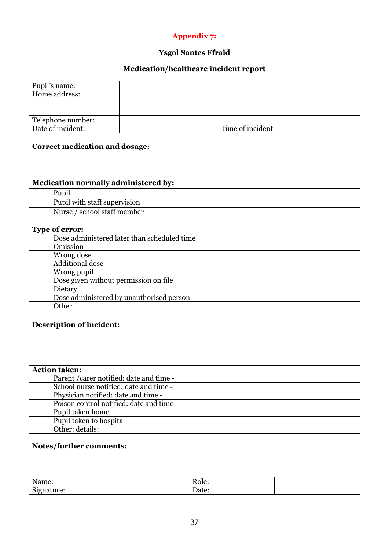# **Appendix 7:**

# **Ysgol Santes Ffraid**

# **Medication/healthcare incident report**

| Pupil's name:     |                  |
|-------------------|------------------|
| Home address:     |                  |
|                   |                  |
|                   |                  |
| Telephone number: |                  |
| Date of incident: | Time of incident |
|                   |                  |

| <b>Correct medication and dosage:</b> |
|---------------------------------------|
| Medication normally administered by:  |
| Pupil                                 |
| Pupil with staff supervision          |
| Nurse / school staff member           |

| <b>Type of error:</b>                       |  |
|---------------------------------------------|--|
| Dose administered later than scheduled time |  |
| Omission                                    |  |
| Wrong dose                                  |  |
| Additional dose                             |  |
| Wrong pupil                                 |  |
| Dose given without permission on file       |  |
| Dietary                                     |  |
| Dose administered by unauthorised person    |  |
| Other                                       |  |

# **Description of incident:**

| <b>Action taken:</b>                     |
|------------------------------------------|
| Parent / carer notified: date and time - |
| School nurse notified: date and time -   |
| Physician notified: date and time -      |
| Poison control notified: date and time - |
| Pupil taken home                         |
| Pupil taken to hospital                  |
| Other: details:                          |

# **Notes/further comments:**

| $\mathbf{r}$<br>Name:                | $\overline{\phantom{0}}$<br>Role: |  |
|--------------------------------------|-----------------------------------|--|
| $\sim$<br>$\alpha$ turo<br>ЫY<br>$-$ | $\overline{\phantom{0}}$<br>Date: |  |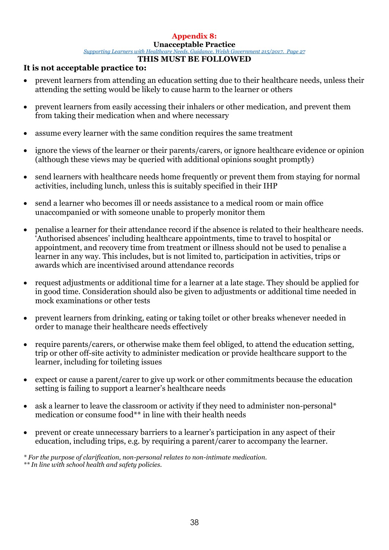# **Appendix 8:**

### **Unacceptable Practice**

*[Supporting Learners with Healthcare Needs. Guidance. Welsh Government 215/2017. P](http://learning.gov.wales/resources/browse-all/supporting-learners-with-healthcare-needs/?lang=en)age 27*

### **THIS MUST BE FOLLOWED**

# **It is not acceptable practice to:**

- prevent learners from attending an education setting due to their healthcare needs, unless their attending the setting would be likely to cause harm to the learner or others
- prevent learners from easily accessing their inhalers or other medication, and prevent them from taking their medication when and where necessary
- assume every learner with the same condition requires the same treatment
- ignore the views of the learner or their parents/carers, or ignore healthcare evidence or opinion (although these views may be queried with additional opinions sought promptly)
- send learners with healthcare needs home frequently or prevent them from staying for normal activities, including lunch, unless this is suitably specified in their IHP
- send a learner who becomes ill or needs assistance to a medical room or main office unaccompanied or with someone unable to properly monitor them
- penalise a learner for their attendance record if the absence is related to their healthcare needs. 'Authorised absences' including healthcare appointments, time to travel to hospital or appointment, and recovery time from treatment or illness should not be used to penalise a learner in any way. This includes, but is not limited to, participation in activities, trips or awards which are incentivised around attendance records
- request adjustments or additional time for a learner at a late stage. They should be applied for in good time. Consideration should also be given to adjustments or additional time needed in mock examinations or other tests
- prevent learners from drinking, eating or taking toilet or other breaks whenever needed in order to manage their healthcare needs effectively
- require parents/carers, or otherwise make them feel obliged, to attend the education setting, trip or other off-site activity to administer medication or provide healthcare support to the learner, including for toileting issues
- expect or cause a parent/carer to give up work or other commitments because the education setting is failing to support a learner's healthcare needs
- ask a learner to leave the classroom or activity if they need to administer non-personal\* medication or consume food\*\* in line with their health needs
- prevent or create unnecessary barriers to a learner's participation in any aspect of their education, including trips, e.g. by requiring a parent/carer to accompany the learner.

*\* For the purpose of clarification, non-personal relates to non-intimate medication.* 

*<sup>\*\*</sup> In line with school health and safety policies.*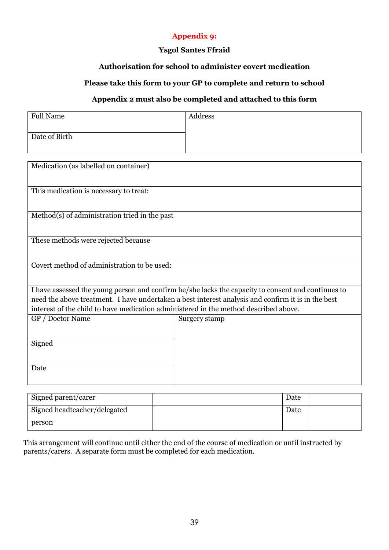# **Appendix 9:**

### **Ysgol Santes Ffraid**

### **Authorisation for school to administer covert medication**

# **Please take this form to your GP to complete and return to school**

### **Appendix 2 must also be completed and attached to this form**

| <b>Full Name</b> | Address |
|------------------|---------|
|                  |         |
| Date of Birth    |         |
|                  |         |

| Medication (as labelled on container)                                                |                                                                                                    |  |  |  |  |
|--------------------------------------------------------------------------------------|----------------------------------------------------------------------------------------------------|--|--|--|--|
| This medication is necessary to treat:                                               |                                                                                                    |  |  |  |  |
| Method(s) of administration tried in the past                                        |                                                                                                    |  |  |  |  |
| These methods were rejected because                                                  |                                                                                                    |  |  |  |  |
| Covert method of administration to be used:                                          |                                                                                                    |  |  |  |  |
|                                                                                      | I have assessed the young person and confirm he/she lacks the capacity to consent and continues to |  |  |  |  |
|                                                                                      | need the above treatment. I have undertaken a best interest analysis and confirm it is in the best |  |  |  |  |
| interest of the child to have medication administered in the method described above. |                                                                                                    |  |  |  |  |
| GP / Doctor Name                                                                     | Surgery stamp                                                                                      |  |  |  |  |
| Signed                                                                               |                                                                                                    |  |  |  |  |
| Date                                                                                 |                                                                                                    |  |  |  |  |

| Signed parent/carer          | Date |  |
|------------------------------|------|--|
| Signed headteacher/delegated | Date |  |
| person                       |      |  |

This arrangement will continue until either the end of the course of medication or until instructed by parents/carers. A separate form must be completed for each medication.